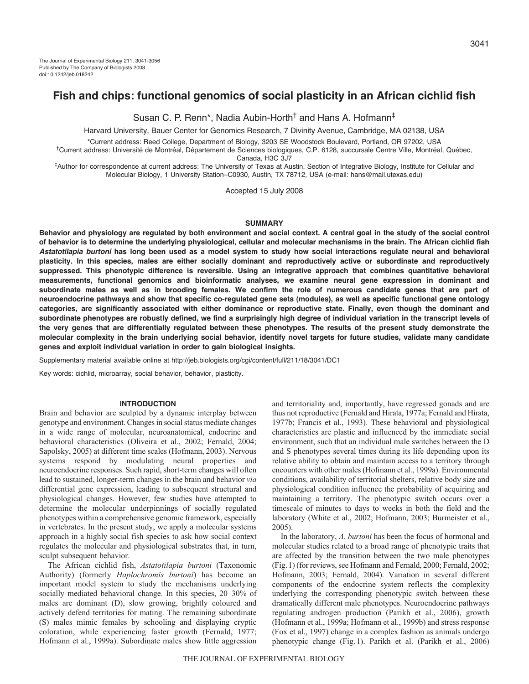# **Fish and chips: functional genomics of social plasticity in an African cichlid fish**

Susan C. P. Renn\*, Nadia Aubin-Horth† and Hans A. Hofmann‡

Harvard University, Bauer Center for Genomics Research, 7 Divinity Avenue, Cambridge, MA 02138, USA

\*Current address: Reed College, Department of Biology, 3203 SE Woodstock Boulevard, Portland, OR 97202, USA

†Current address: Université de Montréal, Département de Sciences biologiques, C.P. 6128, succursale Centre Ville, Montréal, Québec, Canada, H3C 3J7

‡Author for correspondence at current address: The University of Texas at Austin, Section of Integrative Biology, Institute for Cellular and Molecular Biology, 1 University Station–C0930, Austin, TX 78712, USA (e-mail: hans@mail.utexas.edu)

Accepted 15 July 2008

### **SUMMARY**

**Behavior and physiology are regulated by both environment and social context. A central goal in the study of the social control of behavior is to determine the underlying physiological, cellular and molecular mechanisms in the brain. The African cichlid fish** *Astatotilapia burtoni* **has long been used as a model system to study how social interactions regulate neural and behavioral plasticity. In this species, males are either socially dominant and reproductively active or subordinate and reproductively suppressed. This phenotypic difference is reversible. Using an integrative approach that combines quantitative behavioral measurements, functional genomics and bioinformatic analyses, we examine neural gene expression in dominant and subordinate males as well as in brooding females. We confirm the role of numerous candidate genes that are part of neuroendocrine pathways and show that specific co-regulated gene sets (modules), as well as specific functional gene ontology categories, are significantly associated with either dominance or reproductive state. Finally, even though the dominant and subordinate phenotypes are robustly defined, we find a surprisingly high degree of individual variation in the transcript levels of the very genes that are differentially regulated between these phenotypes. The results of the present study demonstrate the molecular complexity in the brain underlying social behavior, identify novel targets for future studies, validate many candidate genes and exploit individual variation in order to gain biological insights.**

Supplementary material available online at http://jeb.biologists.org/cgi/content/full/211/18/3041/DC1

Key words: cichlid, microarray, social behavior, behavior, plasticity.

### **INTRODUCTION**

Brain and behavior are sculpted by a dynamic interplay between genotype and environment. Changes in social status mediate changes in a wide range of molecular, neuroanatomical, endocrine and behavioral characteristics (Oliveira et al., 2002; Fernald, 2004; Sapolsky, 2005) at different time scales (Hofmann, 2003). Nervous systems respond by modulating neural properties and neuroendocrine responses. Such rapid, short-term changes will often lead to sustained, longer-term changes in the brain and behavior *via* differential gene expression, leading to subsequent structural and physiological changes. However, few studies have attempted to determine the molecular underpinnings of socially regulated phenotypes within a comprehensive genomic framework, especially in vertebrates. In the present study, we apply a molecular systems approach in a highly social fish species to ask how social context regulates the molecular and physiological substrates that, in turn, sculpt subsequent behavior.

The African cichlid fish, *Astatotilapia burtoni* (Taxonomic Authority) (formerly *Haplochromis burtoni*) has become an important model system to study the mechanisms underlying socially mediated behavioral change. In this species, 20–30% of males are dominant (D), slow growing, brightly coloured and actively defend territories for mating. The remaining subordinate (S) males mimic females by schooling and displaying cryptic coloration, while experiencing faster growth (Fernald, 1977; Hofmann et al., 1999a). Subordinate males show little aggression

and territoriality and, importantly, have regressed gonads and are thus not reproductive (Fernald and Hirata, 1977a; Fernald and Hirata, 1977b; Francis et al., 1993). These behavioral and physiological characteristics are plastic and influenced by the immediate social environment, such that an individual male switches between the D and S phenotypes several times during its life depending upon its relative ability to obtain and maintain access to a territory through encounters with other males (Hofmann et al., 1999a). Environmental conditions, availability of territorial shelters, relative body size and physiological condition influence the probability of acquiring and maintaining a territory. The phenotypic switch occurs over a timescale of minutes to days to weeks in both the field and the laboratory (White et al., 2002; Hofmann, 2003; Burmeister et al., 2005).

In the laboratory, *A. burtoni* has been the focus of hormonal and molecular studies related to a broad range of phenotypic traits that are affected by the transition between the two male phenotypes (Fig.1) (for reviews, see Hofmann and Fernald, 2000; Fernald, 2002; Hofmann, 2003; Fernald, 2004). Variation in several different components of the endocrine system reflects the complexity underlying the corresponding phenotypic switch between these dramatically different male phenotypes. Neuroendocrine pathways regulating androgen production (Parikh et al., 2006), growth (Hofmann et al., 1999a; Hofmann et al., 1999b) and stress response (Fox et al., 1997) change in a complex fashion as animals undergo phenotypic change (Fig.1). Parikh et al. (Parikh et al., 2006)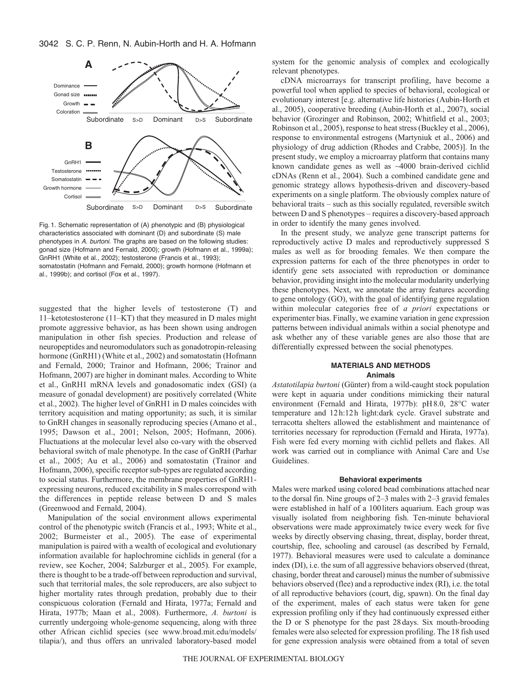

Fig. 1. Schematic representation of (A) phenotypic and (B) physiological characteristics associated with dominant (D) and subordinate (S) male phenotypes in A. burtoni. The graphs are based on the following studies: gonad size (Hofmann and Fernald, 2000); growth (Hofmann et al., 1999a); GnRH1 (White et al., 2002); testosterone (Francis et al., 1993); somatostatin (Hofmann and Fernald, 2000); growth hormone (Hofmann et al., 1999b); and cortisol (Fox et al., 1997).

suggested that the higher levels of testosterone (T) and 11–ketotestosterone (11–KT) that they measured in D males might promote aggressive behavior, as has been shown using androgen manipulation in other fish species. Production and release of neuropeptides and neuromodulators such as gonadotropin-releasing hormone (GnRH1) (White et al., 2002) and somatostatin (Hofmann and Fernald, 2000; Trainor and Hofmann, 2006; Trainor and Hofmann, 2007) are higher in dominant males. According to White et al., GnRH1 mRNA levels and gonadosomatic index (GSI) (a measure of gonadal development) are positively correlated (White et al., 2002). The higher level of GnRH1 in D males coincides with territory acquisition and mating opportunity; as such, it is similar to GnRH changes in seasonally reproducing species (Amano et al., 1995; Dawson et al., 2001; Nelson, 2005; Hofmann, 2006). Fluctuations at the molecular level also co-vary with the observed behavioral switch of male phenotype. In the case of GnRH (Parhar et al., 2005; Au et al., 2006) and somatostatin (Trainor and Hofmann, 2006), specific receptor sub-types are regulated according to social status. Furthermore, the membrane properties of GnRH1 expressing neurons, reduced excitability in S males correspond with the differences in peptide release between D and S males (Greenwood and Fernald, 2004).

Manipulation of the social environment allows experimental control of the phenotypic switch (Francis et al., 1993; White et al., 2002; Burmeister et al., 2005). The ease of experimental manipulation is paired with a wealth of ecological and evolutionary information available for haplochromine cichlids in general (for a review, see Kocher, 2004; Salzburger et al., 2005). For example, there is thought to be a trade-off between reproduction and survival, such that territorial males, the sole reproducers, are also subject to higher mortality rates through predation, probably due to their conspicuous coloration (Fernald and Hirata, 1977a; Fernald and Hirata, 1977b; Maan et al., 2008). Furthermore, *A. burtoni* is currently undergoing whole-genome sequencing, along with three other African cichlid species (see www.broad.mit.edu/models/ tilapia/), and thus offers an unrivaled laboratory-based model

system for the genomic analysis of complex and ecologically relevant phenotypes.

cDNA microarrays for transcript profiling, have become a powerful tool when applied to species of behavioral, ecological or evolutionary interest [e.g. alternative life histories (Aubin-Horth et al., 2005), cooperative breeding (Aubin-Horth et al., 2007), social behavior (Grozinger and Robinson, 2002; Whitfield et al., 2003; Robinson et al., 2005), response to heat stress (Buckley et al., 2006), response to environmental estrogens (Martyniuk et al., 2006) and physiology of drug addiction (Rhodes and Crabbe, 2005)]. In the present study, we employ a microarray platform that contains many known candidate genes as well as ~4000 brain-derived cichlid cDNAs (Renn et al., 2004). Such a combined candidate gene and genomic strategy allows hypothesis-driven and discovery-based experiments on a single platform. The obviously complex nature of behavioral traits – such as this socially regulated, reversible switch between D and S phenotypes – requires a discovery-based approach in order to identify the many genes involved.

In the present study, we analyze gene transcript patterns for reproductively active D males and reproductively suppressed S males as well as for brooding females. We then compare the expression patterns for each of the three phenotypes in order to identify gene sets associated with reproduction or dominance behavior, providing insight into the molecular modularity underlying these phenotypes. Next, we annotate the array features according to gene ontology (GO), with the goal of identifying gene regulation within molecular categories free of *a priori* expectations or experimenter bias. Finally, we examine variation in gene expression patterns between individual animals within a social phenotype and ask whether any of these variable genes are also those that are differentially expressed between the social phenotypes.

## **MATERIALS AND METHODS Animals**

*Astatotilapia burtoni* (Günter) from a wild-caught stock population were kept in aquaria under conditions mimicking their natural environment (Fernald and Hirata, 1977b): pH8.0, 28°C water temperature and 12h:12h light:dark cycle. Gravel substrate and terracotta shelters allowed the establishment and maintenance of territories necessary for reproduction (Fernald and Hirata, 1977a). Fish were fed every morning with cichlid pellets and flakes. All work was carried out in compliance with Animal Care and Use Guidelines.

#### **Behavioral experiments**

Males were marked using colored bead combinations attached near to the dorsal fin. Nine groups of 2–3 males with 2–3 gravid females were established in half of a 100liters aquarium. Each group was visually isolated from neighboring fish. Ten-minute behavioral observations were made approximately twice every week for five weeks by directly observing chasing, threat, display, border threat, courtship, flee, schooling and carousel (as described by Fernald, 1977). Behavioral measures were used to calculate a dominance index (DI), i.e. the sum of all aggressive behaviors observed (threat, chasing, border threat and carousel) minus the number of submissive behaviors observed (flee) and a reproductive index (RI), i.e. the total of all reproductive behaviors (court, dig, spawn). On the final day of the experiment, males of each status were taken for gene expression profiling only if they had continuously expressed either the D or S phenotype for the past 28days. Six mouth-brooding females were also selected for expression profiling. The 18 fish used for gene expression analysis were obtained from a total of seven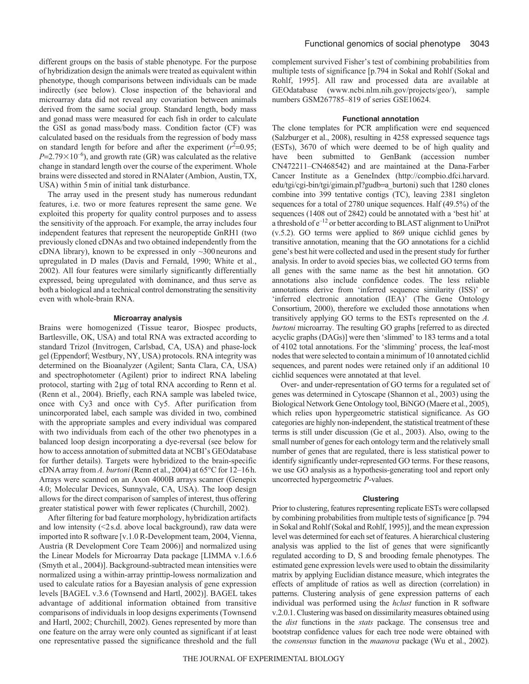different groups on the basis of stable phenotype. For the purpose of hybridization design the animals were treated as equivalent within phenotype, though comparisons between individuals can be made indirectly (see below). Close inspection of the behavioral and microarray data did not reveal any covariation between animals derived from the same social group. Standard length, body mass and gonad mass were measured for each fish in order to calculate the GSI as gonad mass/body mass. Condition factor (CF) was calculated based on the residuals from the regression of body mass on standard length for before and after the experiment  $(r^2=0.95;$  $P = 2.79 \times 10^{-6}$ ), and growth rate (GR) was calculated as the relative change in standard length over the course of the experiment. Whole brains were dissected and stored in RNAlater (Ambion, Austin, TX, USA) within 5min of initial tank disturbance.

The array used in the present study has numerous redundant features, i.e. two or more features represent the same gene. We exploited this property for quality control purposes and to assess the sensitivity of the approach. For example, the array includes four independent features that represent the neuropeptide GnRH1 (two previously cloned cDNAs and two obtained independently from the cDNA library), known to be expressed in only ~300neurons and upregulated in D males (Davis and Fernald, 1990; White et al., 2002). All four features were similarly significantly differentially expressed, being upregulated with dominance, and thus serve as both a biological and a technical control demonstrating the sensitivity even with whole-brain RNA.

#### **Microarray analysis**

Brains were homogenized (Tissue tearor, Biospec products, Bartlesville, OK, USA) and total RNA was extracted according to standard Trizol (Invitrogen, Carlsbad, CA, USA) and phase-lock gel (Eppendorf; Westbury, NY, USA) protocols. RNA integrity was determined on the Bioanalyzer (Agilent; Santa Clara, CA, USA) and spectrophotometer (Agilent) prior to indirect RNA labeling protocol, starting with 2μg of total RNA according to Renn et al. (Renn et al., 2004). Briefly, each RNA sample was labeled twice, once with Cy3 and once with Cy5. After purification from unincorporated label, each sample was divided in two, combined with the appropriate samples and every individual was compared with two individuals from each of the other two phenotypes in a balanced loop design incorporating a dye-reversal (see below for how to access annotation of submitted data at NCBI's GEOdatabase for further details). Targets were hybridized to the brain-specific cDNA array from *A. burtoni* (Renn et al., 2004) at 65°C for 12–16h. Arrays were scanned on an Axon 4000B arrays scanner (Genepix 4.0; Molecular Devices, Sunnyvale, CA, USA). The loop design allows for the direct comparison of samples of interest, thus offering greater statistical power with fewer replicates (Churchill, 2002).

After filtering for bad feature morphology, hybridization artifacts and low intensity (<2s.d. above local background), raw data were imported into R software [v.1.0 R-Development team, 2004, Vienna, Austria (R Development Core Team 2006)] and normalized using the Linear Models for Microarray Data package [LIMMA v.1.6.6 (Smyth et al., 2004)]. Background-subtracted mean intensities were normalized using a within-array printtip-lowess normalization and used to calculate ratios for a Bayesian analysis of gene expression levels [BAGEL v.3.6 (Townsend and Hartl, 2002)]. BAGEL takes advantage of additional information obtained from transitive comparisons of individuals in loop designs experiments (Townsend and Hartl, 2002; Churchill, 2002). Genes represented by more than one feature on the array were only counted as significant if at least one representative passed the significance threshold and the full complement survived Fisher's test of combining probabilities from multiple tests of significance [p.794 in Sokal and Rohlf (Sokal and Rohlf, 1995]. All raw and processed data are available at GEOdatabase (www.ncbi.nlm.nih.gov/projects/geo/), sample numbers GSM267785–819 of series GSE10624.

## **Functional annotation**

The clone templates for PCR amplification were end sequenced (Salzburger et al., 2008), resulting in 4258 expressed sequence tags (ESTs), 3670 of which were deemed to be of high quality and have been submitted to GenBank (accession number CN472211–CN468542) and are maintained at the Dana-Farber Cancer Institute as a GeneIndex (http://compbio.dfci.harvard. edu/tgi/cgi-bin/tgi/gimain.pl?gudb=a\_burtoni) such that 1280 clones combine into 399 tentative contigs (TC), leaving 2381 singleton sequences for a total of 2780 unique sequences. Half (49.5%) of the sequences (1408 out of 2842) could be annotated with a 'best hit' at a threshold of e–12 or better according to BLAST alignment to UniProt (v.5.2). GO terms were applied to 869 unique cichlid genes by transitive annotation, meaning that the GO annotations for a cichlid gene's best hit were collected and used in the present study for further analysis. In order to avoid species bias, we collected GO terms from all genes with the same name as the best hit annotation. GO annotations also include confidence codes. The less reliable annotations derive from 'inferred sequence similarity (ISS)' or 'inferred electronic annotation (IEA)' (The Gene Ontology Consortium, 2000), therefore we excluded those annotations when transitively applying GO terms to the ESTs represented on the *A. burtoni* microarray. The resulting GO graphs [referred to as directed acyclic graphs (DAGs)] were then 'slimmed' to 183 terms and a total of 4102 total annotations. For the 'slimming' process, the leaf-most nodes that were selected to contain a minimum of 10 annotated cichlid sequences, and parent nodes were retained only if an additional 10 cichlid sequences were annotated at that level.

Over- and under-representation of GO terms for a regulated set of genes was determined in Cytoscape (Shannon et al., 2003) using the Biological Network Gene Ontology tool, BiNGO (Maere et al., 2005), which relies upon hypergeometric statistical significance. As GO categories are highly non-independent, the statistical treatment of these terms is still under discussion (Ge et al., 2003). Also, owing to the small number of genes for each ontology term and the relatively small number of genes that are regulated, there is less statistical power to identify significantly under-represented GO terms. For these reasons, we use GO analysis as a hypothesis-generating tool and report only uncorrected hypergeometric *P*-values.

#### **Clustering**

Prior to clustering, features representing replicate ESTs were collapsed by combining probabilities from multiple tests of significance [p. 794 in Sokal and Rohlf (Sokal and Rohlf, 1995)], and the mean expression level was determined for each set of features. A hierarchical clustering analysis was applied to the list of genes that were significantly regulated according to D, S and brooding female phenotypes. The estimated gene expression levels were used to obtain the dissimilarity matrix by applying Euclidian distance measure, which integrates the effects of amplitude of ratios as well as direction (correlation) in patterns. Clustering analysis of gene expression patterns of each individual was performed using the *hclust* function in R software v.2.0.1. Clustering was based on dissimilarity measures obtained using the *dist* functions in the *stats* package. The consensus tree and bootstrap confidence values for each tree node were obtained with the *consensus* function in the *maanova* package (Wu et al., 2002).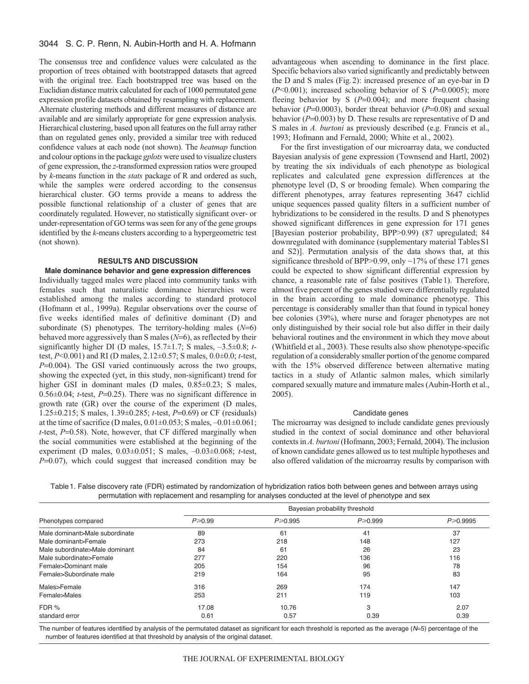The consensus tree and confidence values were calculated as the proportion of trees obtained with bootstrapped datasets that agreed with the original tree. Each bootstrapped tree was based on the Euclidian distance matrix calculated for each of 1000 permutated gene expression profile datasets obtained by resampling with replacement. Alternate clustering methods and different measures of distance are available and are similarly appropriate for gene expression analysis. Hierarchical clustering, based upon all features on the full array rather than on regulated genes only, provided a similar tree with reduced confidence values at each node (not shown). The *heatmap* function and colour options in the package *gplots* were used to visualize clusters of gene expression, the *z*-transformed expression ratios were grouped by *k*-means function in the *stats* package of R and ordered as such, while the samples were ordered according to the consensus hierarchical cluster. GO terms provide a means to address the possible functional relationship of a cluster of genes that are coordinately regulated. However, no statistically significant over- or under-representation of GO terms was seen for any of the gene groups identified by the *k*-means clusters according to a hypergeometric test (not shown).

#### **RESULTS AND DISCUSSION**

## **Male dominance behavior and gene expression differences**

Individually tagged males were placed into community tanks with females such that naturalistic dominance hierarchies were established among the males according to standard protocol (Hofmann et al., 1999a). Regular observations over the course of five weeks identified males of definitive dominant (D) and subordinate (S) phenotypes. The territory-holding males (*N*=6) behaved more aggressively than S males (*N*=6), as reflected by their significantly higher DI (D males, 15.7±1.7; S males, –3.5±0.8; *t*test, *P*<0.001) and RI (D males, 2.12±0.57; S males, 0.0±0.0; *t*-test, *P*=0.004). The GSI varied continuously across the two groups, showing the expected (yet, in this study, non-significant) trend for higher GSI in dominant males (D males, 0.85±0.23; S males,  $0.56\pm0.04$ ; *t*-test, *P*=0.25). There was no significant difference in growth rate (GR) over the course of the experiment (D males, 1.25±0.215; S males, 1.39±0.285; *t*-test, *P*=0.69) or CF (residuals) at the time of sacrifice (D males, 0.01±0.053; S males, –0.01±0.061; *t*-test, *P*=0.58). Note, however, that CF differed marginally when the social communities were established at the beginning of the experiment (D males, 0.03±0.051; S males, –0.03±0.068; *t*-test, *P*=0.07), which could suggest that increased condition may be advantageous when ascending to dominance in the first place. Specific behaviors also varied significantly and predictably between the D and S males (Fig.2): increased presence of an eye-bar in D (*P*<0.001); increased schooling behavior of S (*P*=0.0005); more fleeing behavior by S (P=0.004); and more frequent chasing behavior (*P*=0.0003), border threat behavior (*P*=0.08) and sexual behavior (*P*=0.003) by D. These results are representative of D and S males in *A. burtoni* as previously described (e.g. Francis et al., 1993; Hofmann and Fernald, 2000; White et al., 2002).

For the first investigation of our microarray data, we conducted Bayesian analysis of gene expression (Townsend and Hartl, 2002) by treating the six individuals of each phenotype as biological replicates and calculated gene expression differences at the phenotype level (D, S or brooding female). When comparing the different phenotypes, array features representing 3647 cichlid unique sequences passed quality filters in a sufficient number of hybridizations to be considered in the results. D and S phenotypes showed significant differences in gene expression for 171 genes [Bayesian posterior probability, BPP>0.99) (87 upregulated; 84 downregulated with dominance (supplementary material TablesS1 and S2)]. Permutation analysis of the data shows that, at this significance threshold of BPP>0.99, only  $\sim$ 17% of these 171 genes could be expected to show significant differential expression by chance, a reasonable rate of false positives (Table1). Therefore, almost five percent of the genes studied were differentially regulated in the brain according to male dominance phenotype. This percentage is considerably smaller than that found in typical honey bee colonies (39%), where nurse and forager phenotypes are not only distinguished by their social role but also differ in their daily behavioral routines and the environment in which they move about (Whitfield et al., 2003). These results also show phenotype-specific regulation of a considerably smaller portion of the genome compared with the 15% observed difference between alternative mating tactics in a study of Atlantic salmon males, which similarly compared sexually mature and immature males (Aubin-Horth et al., 2005).

#### Candidate genes

The microarray was designed to include candidate genes previously studied in the context of social dominance and other behavioral contexts in *A. burtoni* (Hofmann, 2003; Fernald, 2004). The inclusion of known candidate genes allowed us to test multiple hypotheses and also offered validation of the microarray results by comparison with

Table1. False discovery rate (FDR) estimated by randomization of hybridization ratios both between genes and between arrays using permutation with replacement and resampling for analyses conducted at the level of phenotype and sex

| Phenotypes compared            | Bayesian probability threshold |               |               |                |  |
|--------------------------------|--------------------------------|---------------|---------------|----------------|--|
|                                | $P \ge 0.99$                   | $P \ge 0.995$ | $P \ge 0.999$ | $P \ge 0.9995$ |  |
| Male dominant>Male subordinate | 89                             | 61            | 41            | 37             |  |
| Male dominant>Female           | 273                            | 218           | 148           | 127            |  |
| Male subordinate>Male dominant | 84                             | 61            | 26            | 23             |  |
| Male subordinate>Female        | 277                            | 220           | 136           | 116            |  |
| Female>Dominant male           | 205                            | 154           | 96            | 78             |  |
| Female>Subordinate male        | 219                            | 164           | 95            | 83             |  |
| Males>Female                   | 316                            | 269           | 174           | 147            |  |
| Female>Males                   | 253                            | 211           | 119           | 103            |  |
| FDR %                          | 17.08                          | 10.76         | 3             | 2.07           |  |
| standard error                 | 0.61                           | 0.57          | 0.39          | 0.39           |  |

The number of features identified by analysis of the permutated dataset as significant for each threshold is reported as the average  $(N=5)$  percentage of the number of features identified at that threshold by analysis of the original dataset.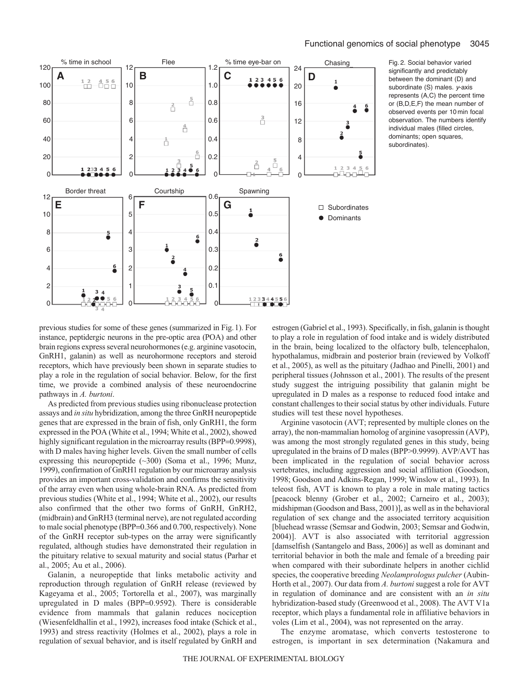

Fig. 2. Social behavior varied significantly and predictably between the dominant (D) and subordinate (S) males. y-axis represents (A,C) the percent time or (B,D,E,F) the mean number of observed events per 10 min focal observation. The numbers identify individual males (filled circles, dominants; open squares, subordinates).

previous studies for some of these genes (summarized in Fig.1). For instance, peptidergic neurons in the pre-optic area (POA) and other brain regions express several neurohormones (e.g. arginine vasotocin, GnRH1, galanin) as well as neurohormone receptors and steroid receptors, which have previously been shown in separate studies to play a role in the regulation of social behavior. Below, for the first time, we provide a combined analysis of these neuroendocrine pathways in *A. burtoni*.

As predicted from previous studies using ribonuclease protection assays and *in situ* hybridization, among the three GnRH neuropeptide genes that are expressed in the brain of fish, only GnRH1, the form expressed in the POA (White et al., 1994; White et al., 2002), showed highly significant regulation in the microarray results (BPP=0.9998), with D males having higher levels. Given the small number of cells expressing this neuropeptide (~300) (Soma et al., 1996; Munz, 1999), confirmation of GnRH1 regulation by our microarray analysis provides an important cross-validation and confirms the sensitivity of the array even when using whole-brain RNA. As predicted from previous studies (White et al., 1994; White et al., 2002), our results also confirmed that the other two forms of GnRH, GnRH2, (midbrain) and GnRH3 (terminal nerve), are not regulated according to male social phenotype (BPP=0.366 and 0.700, respectively). None of the GnRH receptor sub-types on the array were significantly regulated, although studies have demonstrated their regulation in the pituitary relative to sexual maturity and social status (Parhar et al., 2005; Au et al., 2006).

Galanin, a neuropeptide that links metabolic activity and reproduction through regulation of GnRH release (reviewed by Kageyama et al., 2005; Tortorella et al., 2007), was marginally upregulated in D males (BPP=0.9592). There is considerable evidence from mammals that galanin reduces nociception (Wiesenfeldhallin et al., 1992), increases food intake (Schick et al., 1993) and stress reactivity (Holmes et al., 2002), plays a role in regulation of sexual behavior, and is itself regulated by GnRH and estrogen (Gabriel et al., 1993). Specifically, in fish, galanin is thought to play a role in regulation of food intake and is widely distributed in the brain, being localized to the olfactory bulb, telencephalon, hypothalamus, midbrain and posterior brain (reviewed by Volkoff et al., 2005), as well as the pituitary (Jadhao and Pinelli, 2001) and peripheral tissues (Johnsson et al., 2001). The results of the present study suggest the intriguing possibility that galanin might be upregulated in D males as a response to reduced food intake and constant challenges to their social status by other individuals. Future studies will test these novel hypotheses.

Arginine vasotocin (AVT; represented by multiple clones on the array), the non-mammalian homolog of arginine vasopressin (AVP), was among the most strongly regulated genes in this study, being upregulated in the brains of D males (BPP>0.9999). AVP/AVT has been implicated in the regulation of social behavior across vertebrates, including aggression and social affiliation (Goodson, 1998; Goodson and Adkins-Regan, 1999; Winslow et al., 1993). In teleost fish, AVT is known to play a role in male mating tactics [peacock blenny (Grober et al., 2002; Carneiro et al., 2003); midshipman (Goodson and Bass, 2001)], as well as in the behavioral regulation of sex change and the associated territory acquisition [bluehead wrasse (Semsar and Godwin, 2003; Semsar and Godwin, 2004)]. AVT is also associated with territorial aggression [damselfish (Santangelo and Bass, 2006)] as well as dominant and territorial behavior in both the male and female of a breeding pair when compared with their subordinate helpers in another cichlid species, the cooperative breeding *Neolamprologus pulcher* (Aubin-Horth et al., 2007). Our data from *A. burtoni* suggest a role for AVT in regulation of dominance and are consistent with an *in situ* hybridization-based study (Greenwood et al., 2008). The AVT V1a receptor, which plays a fundamental role in affiliative behaviors in voles (Lim et al., 2004), was not represented on the array.

The enzyme aromatase, which converts testosterone to estrogen, is important in sex determination (Nakamura and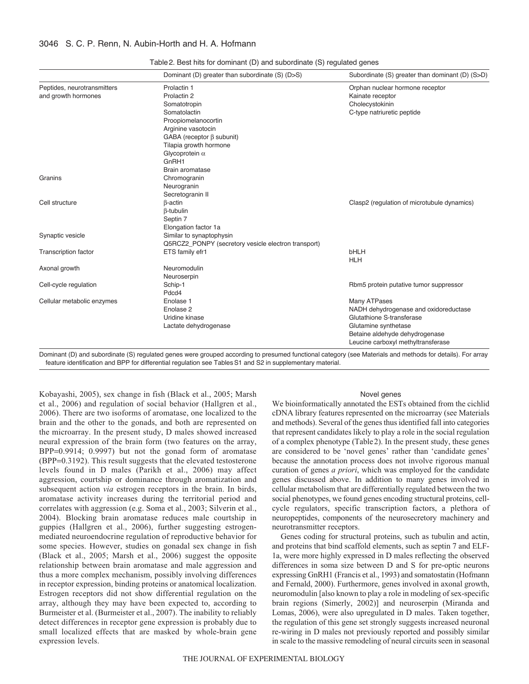|                             | Dominant (D) greater than subordinate (S) (D>S)     | Subordinate (S) greater than dominant (D) (S>D) |
|-----------------------------|-----------------------------------------------------|-------------------------------------------------|
| Peptides, neurotransmitters | Prolactin 1                                         | Orphan nuclear hormone receptor                 |
| and growth hormones         | Prolactin 2                                         | Kainate receptor                                |
|                             | Somatotropin                                        | Cholecystokinin                                 |
|                             | Somatolactin                                        | C-type natriuretic peptide                      |
|                             | Proopiomelanocortin                                 |                                                 |
|                             | Arginine vasotocin                                  |                                                 |
|                             | GABA (receptor $\beta$ subunit)                     |                                                 |
|                             | Tilapia growth hormone                              |                                                 |
|                             | Glycoprotein $\alpha$                               |                                                 |
|                             | GnRH1                                               |                                                 |
|                             | Brain aromatase                                     |                                                 |
| Granins                     | Chromogranin                                        |                                                 |
|                             | Neurogranin                                         |                                                 |
|                             | Secretogranin II                                    |                                                 |
| Cell structure              | $\beta$ -actin                                      | Clasp2 (regulation of microtubule dynamics)     |
|                             | $\beta$ -tubulin                                    |                                                 |
|                             | Septin 7                                            |                                                 |
|                             | Elongation factor 1a                                |                                                 |
| Synaptic vesicle            | Similar to synaptophysin                            |                                                 |
|                             | Q5RCZ2_PONPY (secretory vesicle electron transport) |                                                 |
| <b>Transcription factor</b> | ETS family efr1                                     | <b>bHLH</b>                                     |
|                             |                                                     | <b>HLH</b>                                      |
| Axonal growth               | Neuromodulin                                        |                                                 |
|                             | Neuroserpin                                         |                                                 |
| Cell-cycle regulation       | Schip-1                                             | Rbm5 protein putative tumor suppressor          |
|                             | Pdcd4                                               |                                                 |
| Cellular metabolic enzymes  | Enolase 1                                           | Many ATPases                                    |
|                             | Enolase <sub>2</sub>                                | NADH dehydrogenase and oxidoreductase           |
|                             | Uridine kinase                                      | Glutathione S-transferase                       |
|                             | Lactate dehydrogenase                               | Glutamine synthetase                            |
|                             |                                                     | Betaine aldehyde dehydrogenase                  |
|                             |                                                     | Leucine carboxyl methyltransferase              |

Table2. Best hits for dominant (D) and subordinate (S) regulated genes

Dominant (D) and subordinate (S) regulated genes were grouped according to presumed functional category (see Materials and methods for details). For array feature identification and BPP for differential regulation see Tables S1 and S2 in supplementary material.

Kobayashi, 2005), sex change in fish (Black et al., 2005; Marsh et al., 2006) and regulation of social behavior (Hallgren et al., 2006). There are two isoforms of aromatase, one localized to the brain and the other to the gonads, and both are represented on the microarray. In the present study, D males showed increased neural expression of the brain form (two features on the array, BPP=0.9914; 0.9997) but not the gonad form of aromatase (BPP=0.3192). This result suggests that the elevated testosterone levels found in D males (Parikh et al., 2006) may affect aggression, courtship or dominance through aromatization and subsequent action *via* estrogen receptors in the brain. In birds, aromatase activity increases during the territorial period and correlates with aggression (e.g. Soma et al., 2003; Silverin et al., 2004). Blocking brain aromatase reduces male courtship in guppies (Hallgren et al., 2006), further suggesting estrogenmediated neuroendocrine regulation of reproductive behavior for some species. However, studies on gonadal sex change in fish (Black et al., 2005; Marsh et al., 2006) suggest the opposite relationship between brain aromatase and male aggression and thus a more complex mechanism, possibly involving differences in receptor expression, binding proteins or anatomical localization. Estrogen receptors did not show differential regulation on the array, although they may have been expected to, according to Burmeister et al. (Burmeister et al., 2007). The inability to reliably detect differences in receptor gene expression is probably due to small localized effects that are masked by whole-brain gene expression levels.

### Novel genes

We bioinformatically annotated the ESTs obtained from the cichlid cDNA library features represented on the microarray (see Materials and methods). Several of the genes thus identified fall into categories that represent candidates likely to play a role in the social regulation of a complex phenotype (Table2). In the present study, these genes are considered to be 'novel genes' rather than 'candidate genes' because the annotation process does not involve rigorous manual curation of genes *a priori*, which was employed for the candidate genes discussed above. In addition to many genes involved in cellular metabolism that are differentially regulated between the two social phenotypes, we found genes encoding structural proteins, cellcycle regulators, specific transcription factors, a plethora of neuropeptides, components of the neurosecretory machinery and neurotransmitter receptors.

Genes coding for structural proteins, such as tubulin and actin, and proteins that bind scaffold elements, such as septin 7 and ELF-1a, were more highly expressed in D males reflecting the observed differences in soma size between D and S for pre-optic neurons expressing GnRH1 (Francis et al., 1993) and somatostatin (Hofmann and Fernald, 2000). Furthermore, genes involved in axonal growth, neuromodulin [also known to play a role in modeling of sex-specific brain regions (Simerly, 2002)] and neuroserpin (Miranda and Lomas, 2006), were also upregulated in D males. Taken together, the regulation of this gene set strongly suggests increased neuronal re-wiring in D males not previously reported and possibly similar in scale to the massive remodeling of neural circuits seen in seasonal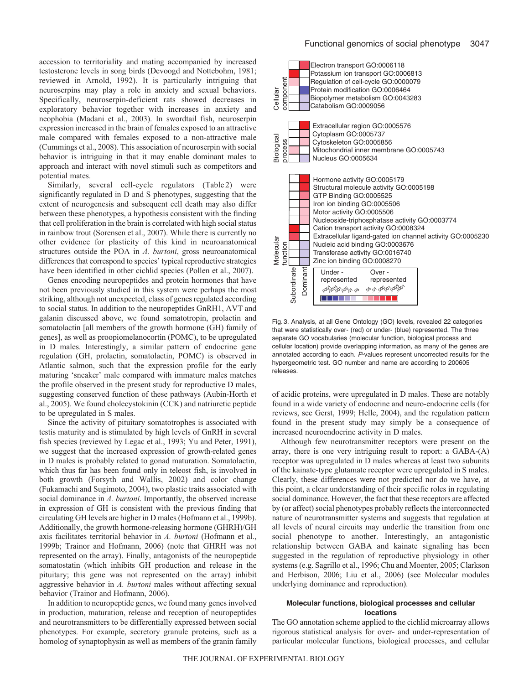accession to territoriality and mating accompanied by increased testosterone levels in song birds (Devoogd and Nottebohm, 1981; reviewed in Arnold, 1992). It is particularly intriguing that neuroserpins may play a role in anxiety and sexual behaviors. Specifically, neuroserpin-deficient rats showed decreases in exploratory behavior together with increases in anxiety and neophobia (Madani et al., 2003). In swordtail fish, neuroserpin expression increased in the brain of females exposed to an attractive male compared with females exposed to a non-attractive male (Cummings et al., 2008). This association of neuroserpin with social behavior is intriguing in that it may enable dominant males to approach and interact with novel stimuli such as competitors and potential mates.

Similarly, several cell-cycle regulators (Table 2) were significantly regulated in D and S phenotypes, suggesting that the extent of neurogenesis and subsequent cell death may also differ between these phenotypes, a hypothesis consistent with the finding that cell proliferation in the brain is correlated with high social status in rainbow trout (Sorensen et al., 2007). While there is currently no other evidence for plasticity of this kind in neuroanatomical structures outside the POA in *A. burtoni*, gross neuroanatomical differences that correspond to species' typical reproductive strategies have been identified in other cichlid species (Pollen et al., 2007).

Genes encoding neuropeptides and protein hormones that have not been previously studied in this system were perhaps the most striking, although not unexpected, class of genes regulated according to social status. In addition to the neuropeptides GnRH1, AVT and galanin discussed above, we found somatotropin, prolactin and somatolactin [all members of the growth hormone (GH) family of genes], as well as proopiomelanocortin (POMC), to be upregulated in D males. Interestingly, a similar pattern of endocrine gene regulation (GH, prolactin, somatolactin, POMC) is observed in Atlantic salmon, such that the expression profile for the early maturing 'sneaker' male compared with immature males matches the profile observed in the present study for reproductive D males, suggesting conserved function of these pathways (Aubin-Horth et al., 2005). We found cholecystokinin (CCK) and natriuretic peptide to be upregulated in S males.

Since the activity of pituitary somatotrophes is associated with testis maturity and is stimulated by high levels of GnRH in several fish species (reviewed by Legac et al., 1993; Yu and Peter, 1991), we suggest that the increased expression of growth-related genes in D males is probably related to gonad maturation. Somatolactin, which thus far has been found only in teleost fish, is involved in both growth (Forsyth and Wallis, 2002) and color change (Fukamachi and Sugimoto, 2004), two plastic traits associated with social dominance in *A. burtoni*. Importantly, the observed increase in expression of GH is consistent with the previous finding that circulating GH levels are higher in D males (Hofmann et al., 1999b). Additionally, the growth hormone-releasing hormone (GHRH)/GH axis facilitates territorial behavior in *A. burtoni* (Hofmann et al., 1999b; Trainor and Hofmann, 2006) (note that GHRH was not represented on the array). Finally, antagonists of the neuropeptide somatostatin (which inhibits GH production and release in the pituitary; this gene was not represented on the array) inhibit aggressive behavior in *A. burtoni* males without affecting sexual behavior (Trainor and Hofmann, 2006).

In addition to neuropeptide genes, we found many genes involved in production, maturation, release and reception of neuropeptides and neurotransmitters to be differentially expressed between social phenotypes. For example, secretory granule proteins, such as a homolog of synaptophysin as well as members of the granin family



Fig. 3. Analysis, at all Gene Ontology (GO) levels, revealed 22 categories that were statistically over- (red) or under- (blue) represented. The three separate GO vocabularies (molecular function, biological process and cellular location) provide overlapping information, as many of the genes are annotated according to each. P-values represent uncorrected results for the hypergeometric test. GO number and name are according to 200605 releases.

of acidic proteins, were upregulated in D males. These are notably found in a wide variety of endocrine and neuro-endocrine cells (for reviews, see Gerst, 1999; Helle, 2004), and the regulation pattern found in the present study may simply be a consequence of increased neuroendocrine activity in D males.

Although few neurotransmitter receptors were present on the array, there is one very intriguing result to report: a GABA-(A) receptor was upregulated in D males whereas at least two subunits of the kainate-type glutamate receptor were upregulated in S males. Clearly, these differences were not predicted nor do we have, at this point, a clear understanding of their specific roles in regulating social dominance. However, the fact that these receptors are affected by (or affect) social phenotypes probably reflects the interconnected nature of neurotransmitter systems and suggests that regulation at all levels of neural circuits may underlie the transition from one social phenotype to another. Interestingly, an antagonistic relationship between GABA and kainate signaling has been suggested in the regulation of reproductive physiology in other systems (e.g. Sagrillo et al., 1996; Chu and Moenter, 2005; Clarkson and Herbison, 2006; Liu et al., 2006) (see Molecular modules underlying dominance and reproduction).

## **Molecular functions, biological processes and cellular locations**

The GO annotation scheme applied to the cichlid microarray allows rigorous statistical analysis for over- and under-representation of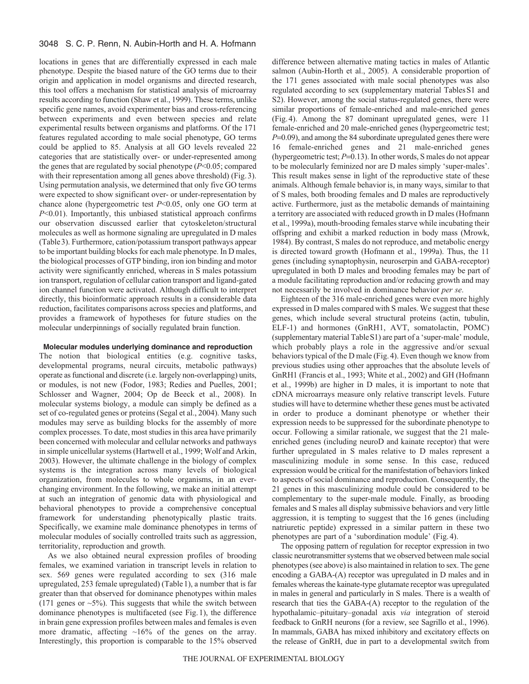locations in genes that are differentially expressed in each male phenotype. Despite the biased nature of the GO terms due to their origin and application in model organisms and directed research, this tool offers a mechanism for statistical analysis of microarray results according to function (Shaw et al., 1999). These terms, unlike specific gene names, avoid experimenter bias and cross-referencing between experiments and even between species and relate experimental results between organisms and platforms. Of the 171 features regulated according to male social phenotype, GO terms could be applied to 85. Analysis at all GO levels revealed 22 categories that are statistically over- or under-represented among the genes that are regulated by social phenotype (*P*<0.05; compared with their representation among all genes above threshold) (Fig.3). Using permutation analysis, we determined that only five GO terms were expected to show significant over- or under-representation by chance alone (hypergeometric test *P*<0.05, only one GO term at *P*<0.01). Importantly, this unbiased statistical approach confirms our observation discussed earlier that cytoskeleton/structural molecules as well as hormone signaling are upregulated in D males (Table3). Furthermore, cation/potassium transport pathways appear to be important building blocks for each male phenotype. In D males, the biological processes of GTP binding, iron ion binding and motor activity were significantly enriched, whereas in S males potassium ion transport, regulation of cellular cation transport and ligand-gated ion channel function were activated. Although difficult to interpret directly, this bioinformatic approach results in a considerable data reduction, facilitates comparisons across species and platforms, and provides a framework of hypotheses for future studies on the molecular underpinnings of socially regulated brain function.

## **Molecular modules underlying dominance and reproduction**

The notion that biological entities (e.g. cognitive tasks, developmental programs, neural circuits, metabolic pathways) operate as functional and discrete (i.e. largely non-overlapping) units, or modules, is not new (Fodor, 1983; Redies and Puelles, 2001; Schlosser and Wagner, 2004; Op de Beeck et al., 2008). In molecular systems biology, a module can simply be defined as a set of co-regulated genes or proteins (Segal et al., 2004). Many such modules may serve as building blocks for the assembly of more complex processes. To date, most studies in this area have primarily been concerned with molecular and cellular networks and pathways in simple unicellular systems (Hartwell et al., 1999; Wolf and Arkin, 2003). However, the ultimate challenge in the biology of complex systems is the integration across many levels of biological organization, from molecules to whole organisms, in an everchanging environment. In the following, we make an initial attempt at such an integration of genomic data with physiological and behavioral phenotypes to provide a comprehensive conceptual framework for understanding phenotypically plastic traits. Specifically, we examine male dominance phenotypes in terms of molecular modules of socially controlled traits such as aggression, territoriality, reproduction and growth.

As we also obtained neural expression profiles of brooding females, we examined variation in transcript levels in relation to sex. 569 genes were regulated according to sex (316 male upregulated, 253 female upregulated) (Table1), a number that is far greater than that observed for dominance phenotypes within males (171 genes or  $\sim$  5%). This suggests that while the switch between dominance phenotypes is multifaceted (see Fig.1), the difference in brain gene expression profiles between males and females is even more dramatic, affecting  $\sim 16\%$  of the genes on the array. Interestingly, this proportion is comparable to the 15% observed

difference between alternative mating tactics in males of Atlantic salmon (Aubin-Horth et al., 2005). A considerable proportion of the 171 genes associated with male social phenotypes was also regulated according to sex (supplementary material TablesS1 and S2). However, among the social status-regulated genes, there were similar proportions of female-enriched and male-enriched genes (Fig.4). Among the 87 dominant upregulated genes, were 11 female-enriched and 20 male-enriched genes (hypergeometric test; *P*=0.09), and among the 84 subordinate upregulated genes there were 16 female-enriched genes and 21 male-enriched genes (hypergeometric test; *P*=0.13). In other words, S males do not appear to be molecularly feminized nor are D males simply 'super-males'. This result makes sense in light of the reproductive state of these animals. Although female behavior is, in many ways, similar to that of S males, both brooding females and D males are reproductively active. Furthermore, just as the metabolic demands of maintaining a territory are associated with reduced growth in D males (Hofmann et al., 1999a), mouth-brooding females starve while incubating their offspring and exhibit a marked reduction in body mass (Mrowk, 1984). By contrast, S males do not reproduce, and metabolic energy is directed toward growth (Hofmann et al., 1999a). Thus, the 11 genes (including synaptophysin, neuroserpin and GABA-receptor) upregulated in both D males and brooding females may be part of a module facilitating reproduction and/or reducing growth and may not necessarily be involved in dominance behavior *per se*.

Eighteen of the 316 male-enriched genes were even more highly expressed in D males compared with S males. We suggest that these genes, which include several structural proteins (actin, tubulin, ELF-1) and hormones (GnRH1, AVT, somatolactin, POMC) (supplementary material TableS1) are part of a 'super-male' module, which probably plays a role in the aggressive and/or sexual behaviors typical of the D male (Fig.4). Even though we know from previous studies using other approaches that the absolute levels of GnRH1 (Francis et al., 1993; White et al., 2002) and GH (Hofmann et al., 1999b) are higher in D males, it is important to note that cDNA microarrays measure only relative transcript levels. Future studies will have to determine whether these genes must be activated in order to produce a dominant phenotype or whether their expression needs to be suppressed for the subordinate phenotype to occur. Following a similar rationale, we suggest that the 21 maleenriched genes (including neuroD and kainate receptor) that were further upregulated in S males relative to D males represent a masculinizing module in some sense. In this case, reduced expression would be critical for the manifestation of behaviors linked to aspects of social dominance and reproduction. Consequently, the 21 genes in this masculinizing module could be considered to be complementary to the super-male module. Finally, as brooding females and S males all display submissive behaviors and very little aggression, it is tempting to suggest that the 16 genes (including natriuretic peptide) expressed in a similar pattern in these two phenotypes are part of a 'subordination module' (Fig.4).

The opposing pattern of regulation for receptor expression in two classic neurotransmitter systems that we observed between male social phenotypes (see above) is also maintained in relation to sex. The gene encoding a GABA-(A) receptor was upregulated in D males and in females whereas the kainate-type glutamate receptor was upregulated in males in general and particularly in S males. There is a wealth of research that ties the GABA-(A) receptor to the regulation of the hypothalamic–pituitary –gonadal axis *via* integration of steroid feedback to GnRH neurons (for a review, see Sagrillo et al., 1996). In mammals, GABA has mixed inhibitory and excitatory effects on the release of GnRH, due in part to a developmental switch from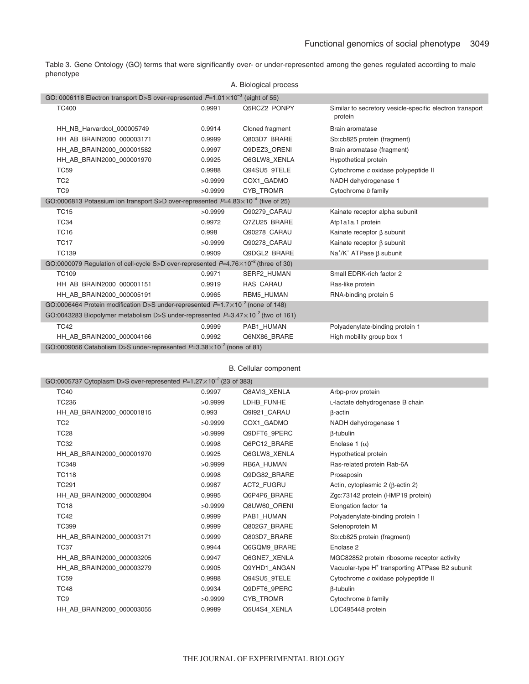Table 3. Gene Ontology (GO) terms that were significantly over- or under-represented among the genes regulated according to male phenotype

|                                                                                              |         | A. Biological process |                                                                     |
|----------------------------------------------------------------------------------------------|---------|-----------------------|---------------------------------------------------------------------|
| GO: 0006118 Electron transport D>S over-represented $P=1.01\times10^{-3}$ (eight of 55)      |         |                       |                                                                     |
| <b>TC400</b>                                                                                 | 0.9991  | Q5RCZ2 PONPY          | Similar to secretory vesicle-specific electron transport<br>protein |
| HH NB Harvardcol 000005749                                                                   | 0.9914  | Cloned fragment       | Brain aromatase                                                     |
| HH AB BRAIN2000 000003171                                                                    | 0.9999  | Q803D7 BRARE          | Sb:cb825 protein (fragment)                                         |
| HH AB BRAIN2000 000001582                                                                    | 0.9997  | Q9DEZ3 ORENI          | Brain aromatase (fragment)                                          |
| HH AB BRAIN2000 000001970                                                                    | 0.9925  | Q6GLW8 XENLA          | Hypothetical protein                                                |
| <b>TC59</b>                                                                                  | 0.9988  | Q94SU5 9TELE          | Cytochrome c oxidase polypeptide II                                 |
| TC <sub>2</sub>                                                                              | >0.9999 | COX1 GADMO            | NADH dehydrogenase 1                                                |
| TC <sub>9</sub>                                                                              | >0.9999 | CYB TROMR             | Cytochrome b family                                                 |
| GO:0006813 Potassium ion transport S>D over-represented $P=4.83\times10^{-4}$ (five of 25)   |         |                       |                                                                     |
| <b>TC15</b>                                                                                  | >0.9999 | Q90279 CARAU          | Kainate receptor alpha subunit                                      |
| <b>TC34</b>                                                                                  | 0.9972  | Q7ZU25 BRARE          | Atp1a1a.1 protein                                                   |
| <b>TC16</b>                                                                                  | 0.998   | Q90278 CARAU          | Kainate receptor $\beta$ subunit                                    |
| <b>TC17</b>                                                                                  | >0.9999 | Q90278 CARAU          | Kainate receptor $\beta$ subunit                                    |
| <b>TC139</b>                                                                                 | 0.9909  | Q9DGL2 BRARE          | $Na^+/K^+$ ATPase $\beta$ subunit                                   |
| GO:0000079 Regulation of cell-cycle S>D over-represented $P=4.76\times10^{-2}$ (three of 30) |         |                       |                                                                     |
| <b>TC109</b>                                                                                 | 0.9971  | <b>SERF2 HUMAN</b>    | Small EDRK-rich factor 2                                            |
| HH AB BRAIN2000 000001151                                                                    | 0.9919  | RAS CARAU             | Ras-like protein                                                    |
| HH AB BRAIN2000 000005191                                                                    | 0.9965  | RBM5 HUMAN            | RNA-binding protein 5                                               |
| GO:0006464 Protein modification D>S under-represented $P=1.7\times10^{-2}$ (none of 148)     |         |                       |                                                                     |
| GO:0043283 Biopolymer metabolism D>S under-represented $P=3.47\times10^{-2}$ (two of 161)    |         |                       |                                                                     |
| <b>TC42</b>                                                                                  | 0.9999  | PAB1 HUMAN            | Polyadenylate-binding protein 1                                     |
| HH AB BRAIN2000 000004166                                                                    | 0.9992  | Q6NX86 BRARE          | High mobility group box 1                                           |
| GO:0009056 Catabolism D>S under-represented $P=3.38\times10^{-2}$ (none of 81)               |         |                       |                                                                     |

B. Cellular component

|                 | GO:0005737 Cytoplasm D>S over-represented $P=1.27\times10^{-2}$ (23 of 383) |         |                   |                                                             |
|-----------------|-----------------------------------------------------------------------------|---------|-------------------|-------------------------------------------------------------|
| <b>TC40</b>     |                                                                             | 0.9997  | Q8AVI3 XENLA      | Arbp-prov protein                                           |
| <b>TC236</b>    |                                                                             | >0.9999 | LDHB FUNHE        | L-lactate dehydrogenase B chain                             |
|                 | HH AB BRAIN2000 000001815                                                   | 0.993   | Q9I921 CARAU      | $\beta$ -actin                                              |
| TC <sub>2</sub> |                                                                             | >0.9999 | COX1 GADMO        | NADH dehydrogenase 1                                        |
| <b>TC28</b>     |                                                                             | >0.9999 | Q9DFT6 9PERC      | $\beta$ -tubulin                                            |
| <b>TC32</b>     |                                                                             | 0.9998  | Q6PC12 BRARE      | Enolase 1 $(\alpha)$                                        |
|                 | HH AB BRAIN2000 000001970                                                   | 0.9925  | Q6GLW8 XENLA      | Hypothetical protein                                        |
| <b>TC348</b>    |                                                                             | >0.9999 | RB6A HUMAN        | Ras-related protein Rab-6A                                  |
| <b>TC118</b>    |                                                                             | 0.9998  | Q9DG82 BRARE      | Prosaposin                                                  |
| <b>TC291</b>    |                                                                             | 0.9987  | <b>ACT2 FUGRU</b> | Actin, cytoplasmic $2$ ( $\beta$ -actin $2$ )               |
|                 | HH AB BRAIN2000 000002804                                                   | 0.9995  | Q6P4P6 BRARE      | Zgc:73142 protein (HMP19 protein)                           |
| <b>TC18</b>     |                                                                             | >0.9999 | Q8UW60 ORENI      | Elongation factor 1a                                        |
| <b>TC42</b>     |                                                                             | 0.9999  | PAB1 HUMAN        | Polyadenylate-binding protein 1                             |
| <b>TC399</b>    |                                                                             | 0.9999  | Q802G7 BRARE      | Selenoprotein M                                             |
|                 | HH AB BRAIN2000 000003171                                                   | 0.9999  | Q803D7 BRARE      | Sb:cb825 protein (fragment)                                 |
| <b>TC37</b>     |                                                                             | 0.9944  | Q6GQM9 BRARE      | Enolase 2                                                   |
|                 | HH AB BRAIN2000 000003205                                                   | 0.9947  | Q6GNE7 XENLA      | MGC82852 protein ribosome receptor activity                 |
|                 | HH AB BRAIN2000 000003279                                                   | 0.9905  | Q9YHD1 ANGAN      | Vacuolar-type H <sup>+</sup> transporting ATPase B2 subunit |
| <b>TC59</b>     |                                                                             | 0.9988  | Q94SU5 9TELE      | Cytochrome c oxidase polypeptide II                         |
| <b>TC48</b>     |                                                                             | 0.9934  | Q9DFT6 9PERC      | <b>B-tubulin</b>                                            |
| TC <sub>9</sub> |                                                                             | >0.9999 | <b>CYB TROMR</b>  | Cytochrome b family                                         |
|                 | HH_AB_BRAIN2000_000003055                                                   | 0.9989  | Q5U4S4 XENLA      | LOC495448 protein                                           |
|                 |                                                                             |         |                   |                                                             |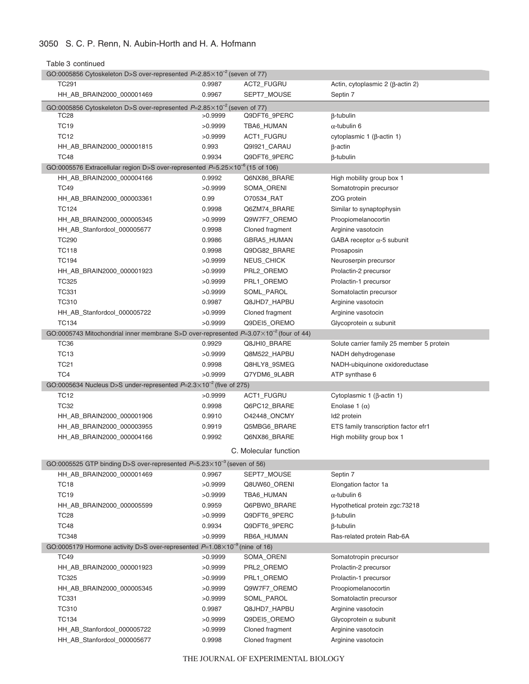Table 3 continued

| GO:0005856 Cytoskeleton D>S over-represented $P=2.85\times10^{-2}$ (seven of 77)                |                                                                                  |                       |                                               |  |  |
|-------------------------------------------------------------------------------------------------|----------------------------------------------------------------------------------|-----------------------|-----------------------------------------------|--|--|
| TC291                                                                                           | 0.9987                                                                           | ACT2_FUGRU            | Actin, cytoplasmic $2$ ( $\beta$ -actin $2$ ) |  |  |
| HH_AB_BRAIN2000_000001469                                                                       | 0.9967                                                                           | SEPT7_MOUSE           | Septin 7                                      |  |  |
|                                                                                                 | GO:0005856 Cytoskeleton D>S over-represented $P=2.85\times10^{-2}$ (seven of 77) |                       |                                               |  |  |
| TC <sub>28</sub>                                                                                | >0.9999                                                                          | Q9DFT6_9PERC          | β-tubulin                                     |  |  |
| <b>TC19</b>                                                                                     | >0.9999                                                                          | TBA6_HUMAN            | $\alpha$ -tubulin 6                           |  |  |
| <b>TC12</b>                                                                                     | >0.9999                                                                          | ACT1_FUGRU            | cytoplasmic 1 (β-actin 1)                     |  |  |
| HH_AB_BRAIN2000_000001815                                                                       | 0.993                                                                            | Q9I921_CARAU          | $\beta$ -actin                                |  |  |
| <b>TC48</b>                                                                                     | 0.9934                                                                           | Q9DFT6_9PERC          | β-tubulin                                     |  |  |
| GO:0005576 Extracellular region D>S over-represented $P=5.25\times10^{-6}$ (15 of 106)          |                                                                                  |                       |                                               |  |  |
| HH_AB_BRAIN2000_000004166                                                                       | 0.9992                                                                           | Q6NX86 BRARE          | High mobility group box 1                     |  |  |
| <b>TC49</b>                                                                                     | >0.9999                                                                          | SOMA_ORENI            | Somatotropin precursor                        |  |  |
| HH_AB_BRAIN2000_000003361                                                                       | 0.99                                                                             | O70534_RAT            | ZOG protein                                   |  |  |
| <b>TC124</b>                                                                                    | 0.9998                                                                           | Q6ZM74_BRARE          | Similar to synaptophysin                      |  |  |
| HH_AB_BRAIN2000_000005345                                                                       | >0.9999                                                                          | Q9W7F7_OREMO          | Proopiomelanocortin                           |  |  |
| HH_AB_Stanfordcol_000005677                                                                     | 0.9998                                                                           | Cloned fragment       | Arginine vasotocin                            |  |  |
| <b>TC290</b>                                                                                    | 0.9986                                                                           | GBRA5_HUMAN           | GABA receptor $\alpha$ -5 subunit             |  |  |
| TC118                                                                                           | 0.9998                                                                           | Q9DG82_BRARE          | Prosaposin                                    |  |  |
| <b>TC194</b>                                                                                    | >0.9999                                                                          | <b>NEUS CHICK</b>     | Neuroserpin precursor                         |  |  |
| HH_AB_BRAIN2000_000001923                                                                       | >0.9999                                                                          | PRL2_OREMO            | Prolactin-2 precursor                         |  |  |
| <b>TC325</b>                                                                                    | >0.9999                                                                          | PRL1_OREMO            | Prolactin-1 precursor                         |  |  |
| <b>TC331</b>                                                                                    | >0.9999                                                                          | SOML_PAROL            | Somatolactin precursor                        |  |  |
| <b>TC310</b>                                                                                    | 0.9987                                                                           | Q8JHD7_HAPBU          | Arginine vasotocin                            |  |  |
| HH_AB_Stanfordcol_000005722                                                                     | >0.9999                                                                          | Cloned fragment       | Arginine vasotocin                            |  |  |
| <b>TC134</b>                                                                                    | >0.9999                                                                          | Q9DEI5_OREMO          | Glycoprotein $\alpha$ subunit                 |  |  |
| GO:0005743 Mitochondrial inner membrane S>D over-represented $P=3.07\times10^{-2}$ (four of 44) |                                                                                  |                       |                                               |  |  |
| TC36                                                                                            | 0.9929                                                                           | Q8JHI0_BRARE          | Solute carrier family 25 member 5 protein     |  |  |
| <b>TC13</b>                                                                                     | >0.9999                                                                          | Q8M522_HAPBU          | NADH dehydrogenase                            |  |  |
| TC21                                                                                            | 0.9998                                                                           | Q8HLY8_9SMEG          | NADH-ubiquinone oxidoreductase                |  |  |
| TC4                                                                                             | >0.9999                                                                          | Q7YDM6_9LABR          | ATP synthase 6                                |  |  |
| GO:0005634 Nucleus D>S under-represented $P=2.3\times10^{-2}$ (five of 275)                     |                                                                                  |                       |                                               |  |  |
| TC12                                                                                            | >0.9999                                                                          | ACT1_FUGRU            | Cytoplasmic 1 ( $\beta$ -actin 1)             |  |  |
| <b>TC32</b>                                                                                     | 0.9998                                                                           | Q6PC12 BRARE          | Enolase 1 $(\alpha)$                          |  |  |
|                                                                                                 | 0.9910                                                                           | O42448_ONCMY          | Id2 protein                                   |  |  |
| HH_AB_BRAIN2000_000001906                                                                       |                                                                                  |                       |                                               |  |  |
| HH_AB_BRAIN2000_000003955                                                                       | 0.9919                                                                           | Q5MBG6_BRARE          | ETS family transcription factor efr1          |  |  |
| HH_AB_BRAIN2000_000004166                                                                       | 0.9992                                                                           | Q6NX86_BRARE          | High mobility group box 1                     |  |  |
|                                                                                                 |                                                                                  | C. Molecular function |                                               |  |  |
| GO:0005525 GTP binding D>S over-represented $P=5.23\times10^{-3}$ (seven of 56)                 |                                                                                  |                       |                                               |  |  |
| HH_AB_BRAIN2000_000001469                                                                       | 0.9967                                                                           | SEPT7_MOUSE           | Septin 7                                      |  |  |
| <b>TC18</b>                                                                                     | >0.9999                                                                          | Q8UW60_ORENI          | Elongation factor 1a                          |  |  |
| <b>TC19</b>                                                                                     | >0.9999                                                                          | TBA6_HUMAN            | $\alpha$ -tubulin 6                           |  |  |
| HH AB BRAIN2000 000005599                                                                       | 0.9959                                                                           | Q6PBW0_BRARE          | Hypothetical protein zgc:73218                |  |  |
| <b>TC28</b>                                                                                     | >0.9999                                                                          | Q9DFT6_9PERC          | <b>B-tubulin</b>                              |  |  |
| <b>TC48</b>                                                                                     | 0.9934                                                                           | Q9DFT6_9PERC          | β-tubulin                                     |  |  |
| <b>TC348</b>                                                                                    | >0.9999                                                                          | RB6A_HUMAN            | Ras-related protein Rab-6A                    |  |  |
| GO:0005179 Hormone activity D>S over-represented $P=1.08\times10^{-9}$ (nine of 16)             |                                                                                  |                       |                                               |  |  |
| <b>TC49</b>                                                                                     | >0.9999                                                                          | SOMA_ORENI            | Somatotropin precursor                        |  |  |
| HH_AB_BRAIN2000_000001923                                                                       | >0.9999                                                                          | PRL2_OREMO            | Prolactin-2 precursor                         |  |  |
| TC325                                                                                           | >0.9999                                                                          | PRL1_OREMO            | Prolactin-1 precursor                         |  |  |
| HH_AB_BRAIN2000_000005345                                                                       | >0.9999                                                                          | Q9W7F7_OREMO          | Proopiomelanocortin                           |  |  |
| <b>TC331</b>                                                                                    | >0.9999                                                                          | SOML_PAROL            | Somatolactin precursor                        |  |  |
| <b>TC310</b>                                                                                    | 0.9987                                                                           | Q8JHD7_HAPBU          | Arginine vasotocin                            |  |  |
| <b>TC134</b>                                                                                    | >0.9999                                                                          | Q9DEI5_OREMO          | Glycoprotein $\alpha$ subunit                 |  |  |
| HH_AB_Stanfordcol_000005722                                                                     | >0.9999                                                                          | Cloned fragment       | Arginine vasotocin                            |  |  |
| HH_AB_Stanfordcol_000005677                                                                     | 0.9998                                                                           | Cloned fragment       | Arginine vasotocin                            |  |  |
|                                                                                                 |                                                                                  |                       |                                               |  |  |

THE JOURNAL OF EXPERIMENTAL BIOLOGY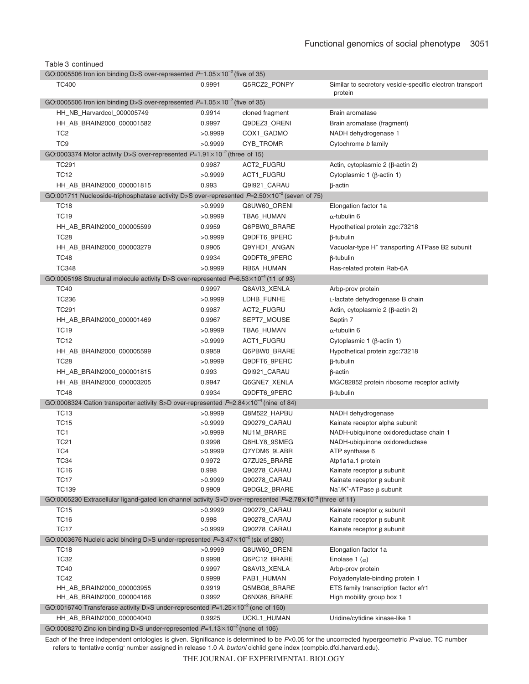|  | Table 3 continued |
|--|-------------------|
|--|-------------------|

| GO:0005506 Iron ion binding D>S over-represented $P=1.05\times10^{-2}$ (five of 35)                                 |         |                              |                                                                     |
|---------------------------------------------------------------------------------------------------------------------|---------|------------------------------|---------------------------------------------------------------------|
| <b>TC400</b>                                                                                                        | 0.9991  | Q5RCZ2_PONPY                 | Similar to secretory vesicle-specific electron transport<br>protein |
| GO:0005506 Iron ion binding D>S over-represented $P=1.05\times10^{-2}$ (five of 35)                                 |         |                              |                                                                     |
| HH_NB_Harvardcol_000005749                                                                                          | 0.9914  | cloned fragment              | Brain aromatase                                                     |
| HH_AB_BRAIN2000_000001582                                                                                           | 0.9997  | Q9DEZ3_ORENI                 | Brain aromatase (fragment)                                          |
| TC <sub>2</sub>                                                                                                     | >0.9999 | COX1_GADMO                   | NADH dehydrogenase 1                                                |
| TC <sub>9</sub>                                                                                                     | >0.9999 | CYB_TROMR                    | Cytochrome b family                                                 |
| GO:0003374 Motor activity D>S over-represented $P=1.91\times10^{-2}$ (three of 15)                                  |         |                              |                                                                     |
| <b>TC291</b>                                                                                                        | 0.9987  | <b>ACT2 FUGRU</b>            | Actin, cytoplasmic $2$ ( $\beta$ -actin $2$ )                       |
| <b>TC12</b>                                                                                                         | >0.9999 | ACT1_FUGRU                   | Cytoplasmic 1 ( $\beta$ -actin 1)                                   |
| HH_AB_BRAIN2000_000001815                                                                                           | 0.993   | Q9I921_CARAU                 | $\beta$ -actin                                                      |
| GO:001711 Nucleoside-triphosphatase activity D>S over-represented $P=2.50\times10^{-2}$ (seven of 75)               |         |                              |                                                                     |
| <b>TC18</b>                                                                                                         | >0.9999 | Q8UW60_ORENI                 | Elongation factor 1a                                                |
| <b>TC19</b>                                                                                                         | >0.9999 | TBA6_HUMAN                   | $\alpha$ -tubulin 6                                                 |
| HH_AB_BRAIN2000_000005599                                                                                           | 0.9959  | Q6PBW0_BRARE                 | Hypothetical protein zgc:73218                                      |
| <b>TC28</b>                                                                                                         | >0.9999 | Q9DFT6_9PERC                 | $\beta$ -tubulin                                                    |
| HH_AB_BRAIN2000_000003279                                                                                           | 0.9905  | Q9YHD1_ANGAN                 | Vacuolar-type H <sup>+</sup> transporting ATPase B2 subunit         |
| TC48                                                                                                                | 0.9934  | Q9DFT6_9PERC                 | $\beta$ -tubulin                                                    |
| <b>TC348</b>                                                                                                        | >0.9999 | RB6A_HUMAN                   | Ras-related protein Rab-6A                                          |
| GO:0005198 Structural molecule activity D>S over-represented $P=6.53\times10^{-4}$ (11 of 93)                       |         |                              |                                                                     |
| <b>TC40</b>                                                                                                         | 0.9997  | Q8AVI3_XENLA                 | Arbp-prov protein                                                   |
| <b>TC236</b>                                                                                                        | >0.9999 | LDHB_FUNHE                   | L-lactate dehydrogenase B chain                                     |
| <b>TC291</b>                                                                                                        | 0.9987  | ACT2_FUGRU                   | Actin, cytoplasmic $2$ ( $\beta$ -actin $2$ )                       |
| HH_AB_BRAIN2000_000001469                                                                                           | 0.9967  | SEPT7_MOUSE                  | Septin 7                                                            |
| <b>TC19</b>                                                                                                         | >0.9999 | TBA6_HUMAN                   | $\alpha$ -tubulin 6                                                 |
| <b>TC12</b>                                                                                                         | >0.9999 | ACT1_FUGRU                   | Cytoplasmic 1 ( $\beta$ -actin 1)                                   |
| HH_AB_BRAIN2000_000005599                                                                                           | 0.9959  | Q6PBW0_BRARE                 | Hypothetical protein zgc:73218                                      |
| <b>TC28</b>                                                                                                         | >0.9999 | Q9DFT6_9PERC                 | $\beta$ -tubulin                                                    |
| HH_AB_BRAIN2000_000001815                                                                                           | 0.993   | Q9I921_CARAU                 | $\beta$ -actin                                                      |
| HH_AB_BRAIN2000_000003205                                                                                           | 0.9947  | Q6GNE7_XENLA                 | MGC82852 protein ribosome receptor activity                         |
| <b>TC48</b>                                                                                                         | 0.9934  | Q9DFT6_9PERC                 | $\beta$ -tubulin                                                    |
| GO:0008324 Cation transporter activity S>D over-represented $P=2.84\times10^{-4}$ (nine of 84)                      |         |                              |                                                                     |
| <b>TC13</b>                                                                                                         | >0.9999 | Q8M522_HAPBU                 | NADH dehydrogenase                                                  |
| <b>TC15</b>                                                                                                         | >0.9999 | Q90279_CARAU                 | Kainate receptor alpha subunit                                      |
| TC1                                                                                                                 | >0.9999 | NU1M_BRARE                   | NADH-ubiquinone oxidoreductase chain 1                              |
| <b>TC21</b>                                                                                                         | 0.9998  | Q8HLY8_9SMEG                 | NADH-ubiquinone oxidoreductase                                      |
| TC4                                                                                                                 | >0.9999 | Q7YDM6_9LABR                 | ATP synthase 6                                                      |
| <b>TC34</b>                                                                                                         | 0.9972  | Q7ZU25_BRARE                 | Atp1a1a.1 protein                                                   |
| <b>TC16</b>                                                                                                         | 0.998   | Q90278_CARAU                 | Kainate receptor $\beta$ subunit                                    |
| <b>TC17</b>                                                                                                         | >0.9999 | Q90278 CARAU                 | Kainate receptor $\beta$ subunit                                    |
| <b>TC139</b>                                                                                                        | 0.9909  | Q9DGL2_BRARE                 | $Na^+/K^+$ -ATPase $\beta$ subunit                                  |
| GO:0005230 Extracellular ligand-gated ion channel activity S>D over-represented $P=2.78\times10^{-3}$ (three of 11) |         |                              |                                                                     |
| <b>TC15</b>                                                                                                         | >0.9999 | Q90279_CARAU                 | Kainate receptor $\alpha$ subunit                                   |
| <b>TC16</b>                                                                                                         | 0.998   | Q90278_CARAU                 | Kainate receptor $\beta$ subunit                                    |
| <b>TC17</b><br>GO:0003676 Nucleic acid binding D>S under-represented $P=3.47\times10^{-2}$ (six of 280)             | >0.9999 | Q90278 CARAU                 | Kainate receptor $\beta$ subunit                                    |
|                                                                                                                     | >0.9999 |                              |                                                                     |
| <b>TC18</b><br><b>TC32</b>                                                                                          | 0.9998  | Q8UW60 ORENI<br>Q6PC12_BRARE | Elongation factor 1a<br>Enolase 1 $(\alpha)$                        |
| <b>TC40</b>                                                                                                         | 0.9997  | Q8AVI3_XENLA                 | Arbp-prov protein                                                   |
| <b>TC42</b>                                                                                                         | 0.9999  | PAB1_HUMAN                   | Polyadenylate-binding protein 1                                     |
| HH_AB_BRAIN2000_000003955                                                                                           | 0.9919  | Q5MBG6_BRARE                 | ETS family transcription factor efr1                                |
| HH_AB_BRAIN2000_000004166                                                                                           | 0.9992  | Q6NX86_BRARE                 | High mobility group box 1                                           |
| GO:0016740 Transferase activity D>S under-represented $P=1.25\times10^{-2}$ (one of 150)                            |         |                              |                                                                     |
| HH_AB_BRAIN2000_000004040                                                                                           | 0.9925  | UCKL1_HUMAN                  | Uridine/cytidine kinase-like 1                                      |
| GO:0008270 Zinc ion binding D>S under-represented $P=1.13\times10^{-2}$ (none of 106)                               |         |                              |                                                                     |

Each of the three independent ontologies is given. Significance is determined to be *P*<0.05 for the uncorrected hypergeometric *P*-value. TC number refers to 'tentative contig' number assigned in release 1.0 A. burtoni cichlid gene index (compbio.dfci.harvard.edu).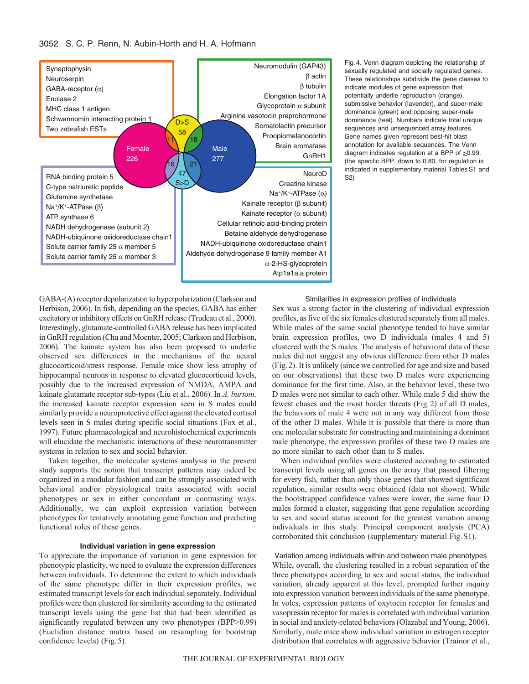

Fig. 4. Venn diagram depicting the relationship of sexually regulated and socially regulated genes. These relationships subdivide the gene classes to indicate modules of gene expression that potentially underlie reproduction (orange), submissive behavior (lavender), and super-male dominance (green) and opposing super-male dominance (teal). Numbers indicate total unique sequences and unsequenced array features. Gene names given represent best-hit blast annotation for available sequences. The Venn diagram indicates regulation at a BPP of  $\geq$ 0.99, (the specific BPP, down to 0.80, for regulation is indicated in supplementary material Tables S1 and S2)

GABA-(A) receptor depolarization to hyperpolarization (Clarkson and Herbison, 2006). In fish, depending on the species, GABA has either excitatory or inhibitory effects on GnRH release (Trudeau et al., 2000). Interestingly, glutamate-controlled GABA release has been implicated in GnRH regulation (Chu and Moenter, 2005; Clarkson and Herbison, 2006). The kainate system has also been proposed to underlie observed sex differences in the mechanisms of the neural glucocorticoid/stress response. Female mice show less atrophy of hippocampal neurons in response to elevated glucocorticoid levels, possibly due to the increased expression of NMDA, AMPA and kainate glutamate receptor sub-types (Liu et al., 2006). In *A. burtoni,* the increased kainate receptor expression seen in S males could similarly provide a neuroprotective effect against the elevated cortisol levels seen in S males during specific social situations (Fox et al., 1997). Future pharmacological and neurohistochemical experiments will elucidate the mechanistic interactions of these neurotransmitter systems in relation to sex and social behavior.

Taken together, the molecular systems analysis in the present study supports the notion that transcript patterns may indeed be organized in a modular fashion and can be strongly associated with behavioral and/or physiological traits associated with social phenotypes or sex in either concordant or contrasting ways. Additionally, we can exploit expression variation between phenotypes for tentatively annotating gene function and predicting functional roles of these genes.

#### **Individual variation in gene expression**

To appreciate the importance of variation in gene expression for phenotypic plasticity, we need to evaluate the expression differences between individuals. To determine the extent to which individuals of the same phenotype differ in their expression profiles, we estimated transcript levels for each individual separately. Individual profiles were then clustered for similarity according to the estimated transcript levels using the gene list that had been identified as significantly regulated between any two phenotypes (BPP>0.99) (Euclidian distance matrix based on resampling for bootstrap confidence levels) (Fig.5).

Similarities in expression profiles of individuals

Sex was a strong factor in the clustering of individual expression profiles, as five of the six females clustered separately from all males. While males of the same social phenotype tended to have similar brain expression profiles, two D individuals (males 4 and 5) clustered with the S males. The analysis of behavioral data of these males did not suggest any obvious difference from other D males (Fig.2). It is unlikely (since we controlled for age and size and based on our observations) that these two D males were experiencing dominance for the first time. Also, at the behavior level, these two D males were not similar to each other. While male 5 did show the fewest chases and the most border threats (Fig.2) of all D males, the behaviors of male 4 were not in any way different from those of the other D males. While it is possible that there is more than one molecular substrate for constructing and maintaining a dominant male phenotype, the expression profiles of these two D males are no more similar to each other than to S males.

When individual profiles were clustered according to estimated transcript levels using all genes on the array that passed filtering for every fish, rather than only those genes that showed significant regulation, similar results were obtained (data not shown). While the bootstrapped confidence values were lower, the same four D males formed a cluster, suggesting that gene regulation according to sex and social status account for the greatest variation among individuals in this study. Principal component analysis (PCA) corroborated this conclusion (supplementary material Fig.S1).

Variation among individuals within and between male phenotypes While, overall, the clustering resulted in a robust separation of the three phenotypes according to sex and social status, the individual variation, already apparent at this level, prompted further inquiry into expression variation between individuals of the same phenotype. In voles, expression patterns of oxytocin receptor for females and vasopressin receptor for males is correlated with individual variation in social and anxiety-related behaviors (Olazabal and Young, 2006). Similarly, male mice show individual variation in estrogen receptor distribution that correlates with aggressive behavior (Trainor et al.,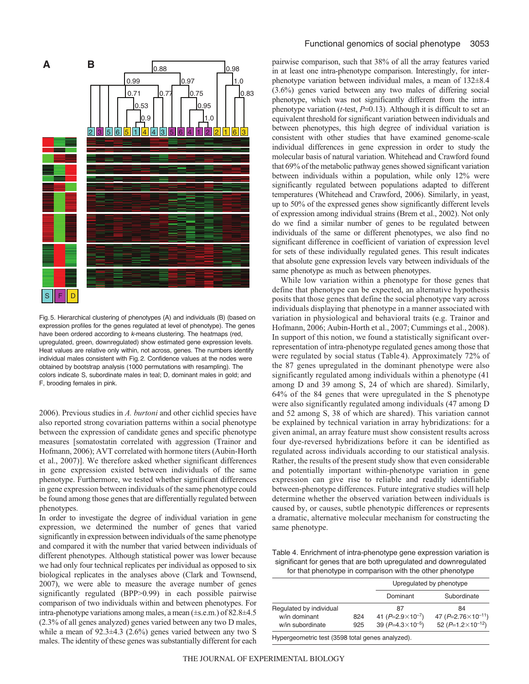

Fig.5. Hierarchical clustering of phenotypes (A) and individuals (B) (based on expression profiles for the genes regulated at level of phenotype). The genes have been ordered according to k-means clustering. The heatmaps (red, upregulated, green, downregulated) show estimated gene expression levels. Heat values are relative only within, not across, genes. The numbers identify individual males consistent with Fig.2. Confidence values at the nodes were obtained by bootstrap analysis (1000 permutations with resampling). The colors indicate S, subordinate males in teal; D, dominant males in gold; and F, brooding females in pink.

2006). Previous studies in *A. burtoni* and other cichlid species have also reported strong covariation patterns within a social phenotype between the expression of candidate genes and specific phenotype measures [somatostatin correlated with aggression (Trainor and Hofmann, 2006); AVT correlated with hormone titers (Aubin-Horth et al., 2007)]. We therefore asked whether significant differences in gene expression existed between individuals of the same phenotype. Furthermore, we tested whether significant differences in gene expression between individuals of the same phenotype could be found among those genes that are differentially regulated between phenotypes.

In order to investigate the degree of individual variation in gene expression, we determined the number of genes that varied significantly in expression between individuals of the same phenotype and compared it with the number that varied between individuals of different phenotypes. Although statistical power was lower because we had only four technical replicates per individual as opposed to six biological replicates in the analyses above (Clark and Townsend, 2007), we were able to measure the average number of genes significantly regulated (BPP>0.99) in each possible pairwise comparison of two individuals within and between phenotypes. For intra-phenotype variations among males, a mean (±s.e.m.) of 82.8±4.5 (2.3% of all genes analyzed) genes varied between any two D males, while a mean of  $92.3 \pm 4.3$  (2.6%) genes varied between any two S males. The identity of these genes was substantially different for each pairwise comparison, such that 38% of all the array features varied in at least one intra-phenotype comparison. Interestingly, for interphenotype variation between individual males, a mean of 132±8.4 (3.6%) genes varied between any two males of differing social phenotype, which was not significantly different from the intraphenotype variation (*t*-test, *P*=0.13). Although it is difficult to set an equivalent threshold for significant variation between individuals and between phenotypes, this high degree of individual variation is consistent with other studies that have examined genome-scale individual differences in gene expression in order to study the molecular basis of natural variation. Whitehead and Crawford found that 69% of the metabolic pathway genes showed significant variation between individuals within a population, while only 12% were significantly regulated between populations adapted to different temperatures (Whitehead and Crawford, 2006). Similarly, in yeast, up to 50% of the expressed genes show significantly different levels of expression among individual strains (Brem et al., 2002). Not only do we find a similar number of genes to be regulated between individuals of the same or different phenotypes, we also find no significant difference in coefficient of variation of expression level for sets of these individually regulated genes. This result indicates that absolute gene expression levels vary between individuals of the same phenotype as much as between phenotypes.

While low variation within a phenotype for those genes that define that phenotype can be expected, an alternative hypothesis posits that those genes that define the social phenotype vary across individuals displaying that phenotype in a manner associated with variation in physiological and behavioral traits (e.g. Trainor and Hofmann, 2006; Aubin-Horth et al., 2007; Cummings et al., 2008). In support of this notion, we found a statistically significant overrepresentation of intra-phenotype regulated genes among those that were regulated by social status (Table 4). Approximately 72% of the 87 genes upregulated in the dominant phenotype were also significantly regulated among individuals within a phenotype (41 among D and 39 among S, 24 of which are shared). Similarly, 64% of the 84 genes that were upregulated in the S phenotype were also significantly regulated among individuals (47 among D and 52 among S, 38 of which are shared). This variation cannot be explained by technical variation in array hybridizations: for a given animal, an array feature must show consistent results across four dye-reversed hybridizations before it can be identified as regulated across individuals according to our statistical analysis. Rather, the results of the present study show that even considerable and potentially important within-phenotype variation in gene expression can give rise to reliable and readily identifiable between-phenotype differences. Future integrative studies will help determine whether the observed variation between individuals is caused by, or causes, subtle phenotypic differences or represents a dramatic, alternative molecular mechanism for constructing the same phenotype.

Table 4. Enrichment of intra-phenotype gene expression variation is significant for genes that are both upregulated and downregulated for that phenotype in comparison with the other phenotype

|                         |     | Upregulated by phenotype    |                                   |  |
|-------------------------|-----|-----------------------------|-----------------------------------|--|
|                         |     | Dominant                    | Subordinate                       |  |
| Regulated by individual |     | 87                          | 84                                |  |
| w/in dominant           | 824 | 41 ( $P=2.9\times10^{-7}$ ) | 47 ( $P = 2.76 \times 10^{-11}$ ) |  |
| w/in subordinate        | 925 | 39 ( $P=4.3\times10^{-5}$ ) | 52 ( $P=1.2\times10^{-12}$ )      |  |
| . .                     |     |                             |                                   |  |

Hypergeometric test (3598 total genes analyzed).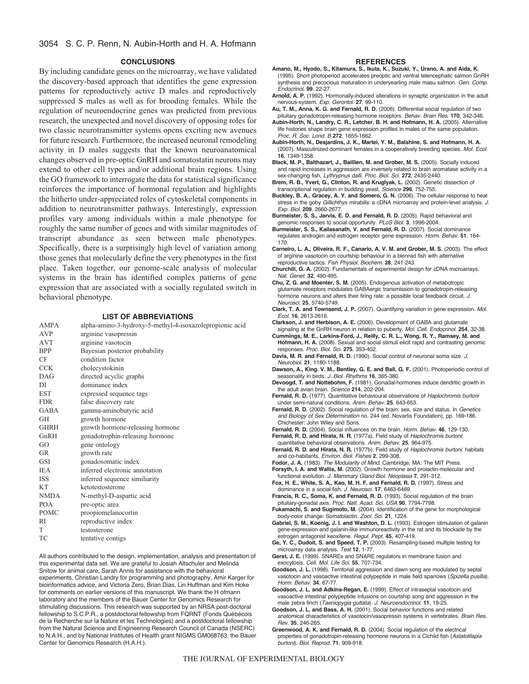#### **CONCLUSIONS**

By including candidate genes on the microarray, we have validated the discovery-based approach that identifies the gene expression patterns for reproductively active D males and reproductively suppressed S males as well as for brooding females. While the regulation of neuroendocrine genes was predicted from previous research, the unexpected and novel discovery of opposing roles for two classic neurotransmitter systems opens exciting new avenues for future research. Furthermore, the increased neuronal remodeling activity in D males suggests that the known neuroanatomical changes observed in pre-optic GnRH and somatostatin neurons may extend to other cell types and/or additional brain regions. Using the GO framework to interrogate the data for statistical significance reinforces the importance of hormonal regulation and highlights the hitherto under-appreciated roles of cytoskeletal components in addition to neurotransmitter pathways. Interestingly, expression profiles vary among individuals within a male phenotype for roughly the same number of genes and with similar magnitudes of transcript abundance as seen between male phenotypes. Specifically, there is a surprisingly high level of variation among those genes that molecularly define the very phenotypes in the first place. Taken together, our genome-scale analysis of molecular systems in the brain has identified complex patterns of gene expression that are associated with a socially regulated switch in behavioral phenotype.

## **LIST OF ABBREVIATIONS**

| <b>AMPA</b> | alpha-amino-3-hydroxy-5-methyl-4-isoxazolepropionic acid |
|-------------|----------------------------------------------------------|
| <b>AVP</b>  | arginine vasopressin                                     |
| <b>AVT</b>  | arginine vasotocin                                       |
| <b>BPP</b>  | Bayesian posterior probability                           |
| CF          | condition factor                                         |
| <b>CCK</b>  | cholecystokinin                                          |
| <b>DAG</b>  | directed acyclic graphs                                  |
| DI          | dominance index                                          |
| <b>EST</b>  | expressed sequence tags                                  |
| <b>FDR</b>  | false discovery rate                                     |
| <b>GABA</b> | gamma-aminobutyric acid                                  |
| GH          | growth hormone                                           |
| <b>GHRH</b> | growth hormone-releasing hormone                         |
| GnRH        | gonadotrophin-releasing hormone                          |
| GO          | gene ontology                                            |
| GR          | growth rate                                              |
| GSI         | gonadosomatic index                                      |
| <b>IEA</b>  | inferred electronic annotation                           |
| <b>ISS</b>  | inferred sequence similiarity                            |
| <b>KT</b>   | ketotestosterone                                         |
| <b>NMDA</b> | N-methyl-D-aspartic acid                                 |
| <b>POA</b>  | pre-optic area                                           |
| <b>POMC</b> | proopiomelanocortin                                      |
| <b>RI</b>   | reproductive index                                       |
| T           | testosterone                                             |
| TC          | tentative contigs                                        |
|             |                                                          |

All authors contributed to the design, implementation, analysis and presentation of this experimental data set. We are grateful to Josiah Altschuler and Melinda Snitow for animal care, Sarah Annis for assistance with the behavioral experiments, Christian Landry for programming and photography, Amir Karger for bioinformatics advice, and Victoria Zero, Brian Dias, Lin Huffman and Kim Hoke for comments on earlier versions of this manuscript. We thank the H ofmann laboratory and the members of the Bauer Center for Genomics Research for stimulating discussions. This research was supported by an NRSA post-doctoral fellowship to S.C.P.R., a postdoctoral fellowship from FQRNT (Fonds Québécois de la Recherche sur la Nature et les Technologies) and a postdoctoral fellowship from the Natural Science and Engineering Research Council of Canada (NSERC) to N.A.H., and by National Institutes of Health grant NIGMS GM068763, the Bauer Center for Genomics Research (H.A.H.).

#### **REFERENCES**

- **Amano, M., Hyodo, S., Kitamura, S., Ikuta, K., Suzuki, Y., Urano, A. and Aida, K.** (1995). Short photoperiod accelerates preoptic and ventral telencephalic salmon GnRH synthesis and precocious maturation in underyearling male masu salmon. Gen. Comp. Endocrinol. **99**, 22-27.
- **Arnold, A. P.** (1992). Hormonally-induced alterations in synaptic organization in the adult nervous-system. Exp. Gerontol. **27**, 99-110.
- **Au, T. M., Anna, K. G. and Fernald, R. D.** (2006). Differential social regulation of two pituitary gonadotropin-releasing hormone receptors. Behav. Brain Res. **170**, 342-346.
- **Aubin-Horth, N., Landry, C. R., Letcher, B. H. and Hofmann, H. A.** (2005). Alternative life histories shape brain gene expression profiles in males of the same population. Proc. R. Soc. Lond. B **272**, 1655-1662.
- **Aubin-Horth, N., Desjardins, J. K., Martei, Y. M., Balshine, S. and Hofmann, H. A.** (2007). Masculinized dominant females in a cooperatively breeding species. Mol. Ecol. **16**, 1349-1358.
- **Black, M. P., Balthazart, J., Baillien, M. and Grober, M. S.** (2005). Socially induced and rapid increases in aggression are inversely related to brain aromatase activity in a sex-changing fish, Lythrypnus dalli. Proc. Biol. Sci. **272**, 2435-2440.
- **Brem, R. B., Yvert, G., Clinton, R. and Kruglyak, L.** (2002). Genetic dissection of transcriptional regulation in budding yeast. Science **296**, 752-755.
- **Buckley, B. A., Gracey, A. Y. and Somero, G. N.** (2006). The cellular response to heat stress in the goby Gillichthys mirabilis: a cDNA microarray and protein-level analysis. J. Exp. Biol. **209**, 2660-2677.
- **Burmeister, S. S., Jarvis, E. D. and Fernald, R. D.** (2005). Rapid behavioral and genomic responses to social opportunity. PLoS Biol. **3**, 1996-2004.

**Burmeister, S. S., Kailasanath, V. and Fernald, R. D.** (2007). Social dominance regulates androgen and estrogen receptor gene expression. Horm. Behav. **51**, 164- 170.

- **Carneiro, L. A., Oliveira, R. F., Canario, A. V. M. and Grober, M. S.** (2003). The effect of arginine vasotocin on courtship behaviour in a blenniid fish with alternative reproductive tactics. Fish Physiol. Biochem. **28**, 241-243.
- **Churchill, G. A.** (2002). Fundamentals of experimental design for cDNA microarrays. Nat. Genet. **32**, 490-495.

**Chu, Z. G. and Moenter, S. M.** (2005). Endogenous activation of metabotropic glutamate receptors modulates GABAergic transmission to gonadotropin-releasing hormone neurons and alters their firing rate: a possible local feedback circuit. J. Neurosci. **25**, 5740-5749.

- **Clark, T. A. and Townsend, J. P.** (2007). Quantifying variation in gene expression. Mol. Ecol. **16**, 2613-2616.
- **Clarkson, J. and Herbison, A. E.** (2006). Development of GABA and glutamate
- signaling at the GnRH neuron in relation to puberty. Mol. Cell. Endocrinol. **254**, 32-38. **Cummings, M. E., Larkins-Ford, J., Reilly, C. R. L., Wong, R. Y., Ramsey, M. and** Hofmann, H. A. (2008). Sexual and social stimuli elicit rapid and contrasting genomic
- responses. Proc. Biol. Sci. **275**, 393-402.
- **Davis, M. R. and Fernald, R. D.** (1990). Social control of neuronal soma size. J. Neurobiol. **21**, 1180-1188.
- **Dawson, A., King. V. M., Bentley, G. E. and Ball, G. F.** (2001). Photoperiodic control of seasonality in birds. J. Biol. Rhythms **16**, 365-380.
- **Devoogd, T. and Nottebohm, F.** (1981). Gonadal-hormones induce dendritic growth in the adult avian brain. Science **214**, 202-204.
- Fernald, R. D. (1977). Quantitative behavioural observations of Haplochromis burtoni under semi-natural conditions. Anim. Behav. **25**, 643-653.
- Fernald, R. D. (2002). Social regulation of the brain: sex, size and status. In Genetics and Biology of Sex Determination no. 244 (ed. Novartis Foundation), pp. 169-186. Chichester: John Wiley and Sons.
- **Fernald, R. D.** (2004). Social influences on the brain. Horm. Behav. **46**, 129-130.
- **Fernald, R. D. and Hirata, N. R.** (1977a). Field study of Haplochromis burtoni: quantitative behavioral observations. Anim. Behav. **25**, 964-975.
- **Fernald, R. D. and Hirata, N. R.** (1977b). Field study of Haplochromis burtoni: habitats and co-habitants. Environ. Biol. Fishes **2**, 299-308.
- **Fodor, J. A.** (1983). The Modularity of Mind. Cambridge, MA: The MIT Press.
- **Forsyth, I. A. and Wallis, M.** (2002). Growth hormone and prolactin-molecular and functional evolution. J. Mammary Gland Biol. Neoplasia **7**, 291-312.
- **Fox, H. E., White, S. A., Kao, M. H. F. and Fernald, R. D.** (1997). Stress and
- dominance in a social fish. J. Neurosci. **17**, 6463-6469. **Francis, R. C., Soma, K. and Fernald, R. D.** (1993). Social regulation of the brain pituitary-gonadal axis. Proc. Natl. Acad. Sci. USA **90**, 7794-7798.
- **Fukamachi, S. and Sugimoto, M.** (2004). Identification of the gene for morphological
- body-color change: Somatolactin. Zool. Sci. **21**, 1224. **Gabriel, S. M., Koenig, J. I. and Washton, D. L.** (1993). Estrogen stimulation of galanin gene-expression and galanin-like immunoreactivity in the rat and its blockade by the estrogen antagonist keoxifene. Regul. Pept. **45**, 407-419.
- **Ge, Y. C., Dudoit, S. and Speed, T. P.** (2003). Resampling-based multiple testing for microarray data analysis. Test **12**, 1-77.
- **Gerst, J. E.** (1999). SNAREs and SNARE regulators in membrane fusion and exocytosis. Cell. Mol. Life Sci. **55**, 707-734.
- **Goodson, J. L.** (1998). Territorial aggression and dawn song are modulated by septal vasotocin and vasoactive intestinal polypeptide in male field sparrows (Spizella pusilla). Horm. Behav. **34**, 67-77.
- **Goodson, J. L. and Adkins-Regan, E.** (1999). Effect of intraseptal vasotocin and vasoactive intestinal polypeptide infusions on courtship song and aggression in the
- male zebra finch (Taeniopygia guttata). J. Neuroendocrinol. **11**, 19-25. **Goodson, J. L. and Bass, A. H.** (2001). Social behavior functions and related anatomical characteristics of vasotocin/vasopressin systems in vertebrates. Brain Res. Rev. **35**, 246-265.
- **Greenwood, A. K. and Fernald, R. D.** (2004). Social regulation of the electrical properties of gonadotropin-releasing hormone neurons in a Cichlid fish (Astatotilapia burtoni). Biol. Reprod. **71**, 909-918.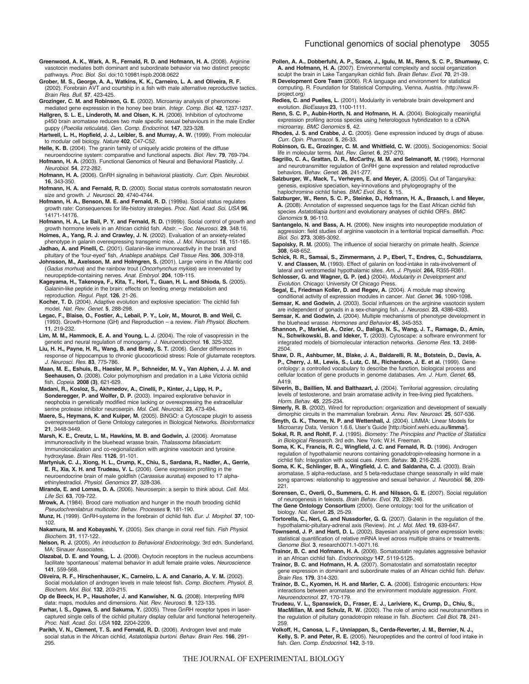- **Greenwood, A. K., Wark, A. R., Fernald, R. D. and Hofmann, H. A.** (2008). Arginine vasotocin mediates both dominant and subordinate behavior via two distinct preoptic pathways. Proc. Biol. Sci. doi:10.10981/rspb.2008.0622
- **Grober, M. S., George, A. A., Watkins, K. K., Carneiro, L. A. and Oliveira, R. F.** (2002). Forebrain AVT and courtship in a fish with male alternative reproductive tactics. Brain Res. Bull. **57**, 423-425.
- **Grozinger, C. M. and Robinson, G. E.** (2002). Microarray analysis of pheromonemediated gene expression in the honey bee brain. Integr. Comp. Biol. **42**, 1237-1237. **Hallgren, S. L. E., Linderoth, M. and Olsen, K. H.** (2006). Inhibition of cytochrome
- p450 brain aromatase reduces two male specific sexual behaviours in the male Endler guppy (Poecilia reticulata). Gen. Comp. Endocrinol. **147**, 323-328.
- **Hartwell, L. H., Hopfield, J. J., Leibler, S. and Murray, A. W.** (1999). From molecular to modular cell biology. Nature **402**, C47-C52.
- **Helle, K. B.** (2004). The granin family of uniquely acidic proteins of the diffuse neuroendocrine system: comparative and functional aspects. Biol. Rev. **79**, 769-794.
- **Hofmann, H. A.** (2003). Functional Genomics of Neural and Behavioral Plasticity. J. Neurobiol. **54**, 272-282.
- Hofmann, H. A. (2006). GnRH signaling in behavioral plasticity. Curr. Opin. Neurobiol. **16**, 343-350.
- **Hofmann, H. A. and Fernald, R. D.** (2000). Social status controls somatostatin neuron size and growth. J. Neurosci. **20**, 4740-4744.
- **Hofmann, H. A., Benson, M. E. and Fernald, R. D.** (1999a). Social status regulates growth rate: Consequences for life-history strategies. Proc. Natl. Acad. Sci. USA **96**, 14171-14176.
- **Hofmann, H. A., Le Bail, P. Y. and Fernald, R. D.** (1999b). Social control of growth and growth hormone levels in an African cichlid fish. Abstr. – Soc. Neurosci. **29**, 348.16.
- **Holmes, A., Yang, R. J. and Crawley, J. N.** (2002). Evaluation of an anxiety-related phenotype in galanin overexpressing transgenic mice. J. Mol. Neurosci. **18**, 151-165.

**Jadhao, A. and Pinelli, C.** (2001). Galanin-like immunoreactivity in the brain and pituitary of the ʻfour-eyed' fish, Anableps anableps. Cell Tissue Res. **306**, 309-318.

**Johnsson, M., Axelsson, M. and Holmgren, S.** (2001). Large veins in the Atlantic cod (Gadus morhua) and the rainbow trout (Oncorhynchus mykiss) are innervated by neuropeptide-containing nerves. Anat. Embryol. **204**, 109-115.

**Kageyama, H., Takenoya, F., Kita, T., Hori, T., Guan, H. L. and Shioda, S.** (2005). Galanin-like peptide in the brain: effects on feeding energy metabolism and reproduction. Regul. Pept. **126**, 21-26.

- **Kocher, T. D.** (2004). Adaptive evolution and explosive speciation: The cichlid fish model. Nat. Rev. Genet. **5**, 288-298.
- **Legac, F., Blaise, O., Fostier, A., Lebail, P. Y., Loir, M., Mourot, B. and Weil, C.** (1993). Growth-Hormone (GH) and Reproduction – a review. Fish Physiol. Biochem. **11**, 219-232.
- **Lim, M. M., Hammock, E. A. and Young, L. J.** (2004). The role of vasopressin in the genetic and neural regulation of monogamy. J. Neuroendocrinol. **16**, 325-332.
- **Liu, H. H., Payne, H. R., Wang, B. and Brady, S. T.** (2006). Gender differences in response of hippocampus to chronic glucocorticoid stress: Role of glutamate receptors. J. Neurosci. Res. **83**, 775-786.
- **Maan, M. E., Eshuis, B., Haesler, M. P., Schneider, M. V., Van Alphen, J. J. M. and Seehausen, O.** (2008). Color polymorphism and predation in a Lake Victoria cichlid fish. Copeia. **2008 (3)**, 621-629.
- **Madani, R., Kosloz, S., Akhmedov, A., Cinelli, P., Kinter, J., Lipp, H. P., Sonderegger, P. and Wolfer, D. P.** (2003). Impaired explorative behavior in neophobia in genetically modified mice lacking or overexpressing the extracellular serine protease inhibitor neuroserpin. Mol. Cell. Neurosci. **23**, 473-494.
- **Maere, S., Heymans, K. and Kuiper, M.** (2005). BiNGO: a Cytoscape plugin to assess overrepresentation of Gene Ontology categories in Biological Networks. Bioinformatics **21**, 3448-3449.
- **Marsh, K. E., Creutz, L. M., Hawkins, M. B. and Godwin, J.** (2006). Aromatase immunoreactivity in the bluehead wrasse brain, Thalassoma bifasciatum: Immunolocalization and co-regionalization with arginine vasotocin and tyrosine hydroxylase. Brain Res. **1126**, 91-101.
- **Martyniuk, C. J., Xiong, H. L., Crump, K., Chiu, S., Sardana, R., Nadler, A., Gerrie, E. R., Xia, X. H. and Trudeau, V. L.** (2006). Gene expression profiling in the neuroendocrine brain of male goldfish (Carassius auratus) exposed to 17 alphaethinylestradiol. Physiol. Genomics **27**, 328-336.
- Miranda, E. and Lomas, D. A. (2006). Neuroserpin: a serpin to think about. Cell. Mol. Life Sci. **63**, 709-722.
- **Mrowk, A.** (1984). Brood care motivation and hunger in the mouth brooding cichlid Pseudochrenilabrus multicolor. Behav. Processes **9**, 181-190.
- **Munz, H.** (1999). GnRH-systems in the forebrain of cichlid fish. Eur. J. Morphol. **37**, 100- 102.
- **Nakamura, M. and Kobayashi, Y.** (2005). Sex change in coral reef fish. Fish Physiol. Biochem. **31**, 117-122.
- **Nelson, R. J.** (2005). An Introduction to Behavioral Endocrinology. 3rd edn. Sunderland, MA: Sinauer Associates.
- **Olazabal, D. E. and Young, L. J.** (2006). Oxytocin receptors in the nucleus accumbens facilitate ʻspontaneous' maternal behavior in adult female prairie voles. Neuroscience **141**, 559-568.
- **Oliveira, R. F., Hirschenhauser, K., Carneiro, L. A. and Canario, A. V. M.** (2002). Social modulation of androgen levels in male teleost fish. Comp. Biochem. Physiol. B, Biochem. Mol. Biol. **132**, 203-215.
- **Op de Beeck, H. P., Haushofer, J. and Kanwisher, N. G.** (2008). Interpreting fMRI
- data: maps, modules and dimensions. Nat. Rev. Neurosci. **9**, 123-135. **Parhar, I. S., Ogawa, S. and Sakuma, Y.** (2005). Three GnRH receptor types in lasercaptured single cells of the cichlid pituitary display cellular and functional heterogeneity. Proc. Natl. Acad. Sci. USA **102**, 2204-2209.
- **Parikh, V. N., Clement, T. S. and Fernald, R. D.** (2006). Androgen level and male social status in the African cichlid, Astatotilapia burtoni. Behav. Brain Res. **166**, 291- 295.
- **Pollen, A. A., Dobberfuhl, A. P., Scace, J., Igulu, M. M., Renn, S. C. P., Shumway, C. A. and Hofmann, H. A.** (2007). Environmental complexity and social organization sculpt the brain in Lake Tanganyikan cichlid fish. Brain Behav. Evol. **70**, 21-39.
- **R Development Core Team** (2006). R:A language and environment for statistical computing. R. Foundation for Statistical Computing, Vienna, Austria. (http://www.Rproject.org
- **Redies, C. and Puelles, L.** (2001). Modularity in vertebrate brain development and evolution. BioEssays **23**, 1100-1111.
- **Renn, S. C. P., Aubin-Horth, N. and Hofmann, H. A.** (2004). Biologically meaningful expression profiling across species using heterologous hybridization to a cDNA microarray. BMC Genomics **5**, 42.
- **Rhodes, J. S. and Crabbe, J. C.** (2005). Gene expression induced by drugs of abuse. Curr. Opin. Pharmacol. **5**, 26-33.
- **Robinson, G. E., Grozinger, C. M. and Whitfield, C. W.** (2005). Sociogenomics: Social life in molecular terms. Nat. Rev. Genet. **6**, 257-270.
- **Sagrillo, C. A., Grattan, D. R., McCarthy, M. M. and Selmanoff, M.** (1996). Hormonal and neurotransmitter regulation of GnRH gene expression and related reproductive behaviors. Behav. Genet. **26**, 241-277.
- **Salzburger, W., Mack, T., Verheyen, E. and Meyer, A.** (2005). Out of Tanganyika: genesis, explosive speciation, key-innovations and phylogeography of the haplochromine cichlid fishes. BMC Evol. Biol. **5**, 15.
- **Salzburger, W., Renn, S. C. P., Steinke, D., Hofmann, H. A., Braasch, I. and Meyer, A.** (2008). Annotation of expressed sequence tags for the East African cichlid fish species Astatotilapia burtoni and evolutionary analyses of cichlid ORFs. BMC Genomics **9**, 96-110.
- **Santangelo, N. and Bass, A. H.** (2006). New insights into neuropeptide modulation of aggression: field studies of arginine vasotocin in a territorial tropical damselfish. Proc. Biol. Sci. **273**, 3085-3092.
- Sapolsky, R. M. (2005). The influence of social hierarchy on primate health. Science **308**, 648-652.
- **Schick, R. R., Samsai, S., Zimmermann, J. P., Eberl, T., Endres, C., Schusdziarra, V. and Classen, M.** (1993). Effect of galanin on food-intake in rats-involvement of lateral and ventromedial hypothalamic sites. Am. J. Physiol. **264,** R355-R361.
- **Schlosser, G. and Wagner, G. P. (ed.)** (2004). Modularity in Development and Evolution. Chicago: University Of Chicago Press.
- **Segal, E., Friedman Koller, D. and Regev, A.** (2004). A module map showing conditional activity of expression modules in cancer. Nat. Genet. **36**, 1090-1098**.**
- **Semsar, K. and Godwin, J.** (2003). Social influences on the arginine vasotocin system are independent of gonads in a sex-changing fish. J. Neurosci. **23**, 4386-4393.
- **Semsar, K. and Godwin, J.** (2004). Multiple mechanisms of phenotype development in the bluehead wrasse. Hormones and Behavior **45**, 345-353.
- **Shannon, P., Markiel, A., Ozier, O., Baliga, N. S., Wang, J. T., Ramage, D., Amin, N., Schwikowski, B. and Ideker, T.** (2003). Cytoscape: a software environment for integrated models of biomolecular interaction networks. Genome Res. **13**, 2498- 2504.
- **Shaw, D. R., Ashbumer, M., Blake, J. A., Baldarelli, R. M., Botstein, D., Davis, A. P., Cherry, J. M., Lewis, S., Lutz, C. M., Richardson, J. E. et al.** (1999). Gene ontology: a controlled vocabulary to describe the function, biological process and cellular location of gene products in genome databases. Am. J. Hum. Genet. **65**, A419.
- **Silverin, B., Baillien, M. and Balthazart, J.** (2004). Territorial aggression, circulating levels of testosterone, and brain aromatase activity in free-living pied flycatchers. Horm. Behav. **45**, 225-234.
- **Simerly, R. B.** (2002). Wired for reproduction: organization and development of sexually dimorphic circuits in the mammalian forebrain. Annu. Rev. Neurosci. **25**, 507-536.
- **Smyth, G. K., Thorne, N. P. and Wettenhall, J.** (2004). LIMMA: Linear Models for Microarray Data, Version 1.6.6, User's Guide [http://bioinf.wehi.edu.au/**limma**/].
- **Sokal, R. R. and Rohlf, F. J.** (1995). Biometry: The Principles and Practice of Statistics in Biological Research. 3rd edn. New York: W.H. Freeman.
- **Soma, K. K., Francis, R. C., Wingfield, J. C. and Fernald, R. D.** (1996). Androgen regulation of hypothalamic neurons containing gonadotropin-releasing hormone in a cichlid fish: Integration with social cues. Horm. Behav. **30**, 216-226.
- Soma, K. K., Schlinger, B. A., Wingfield, J. C. and Saldanha, C. J. (2003). Brain aromatase, 5 alpha-reductase, and 5 beta-reductase change seasonally in wild male song sparrows: relationship to aggressive and sexual behavior. J. Neurobiol. **56**, 209- 221.
- **Sorensen, C., Overli, O., Summers, C. H. and Nilsson, G. E.** (2007). Social regulation of neurogenesis in teleosts. Brain Behav. Evol. **70**, 239-246.
- **The Gene Ontology Consortium** (2000). Gene ontology: tool for the unification of biology. Nat. Genet. **25**, 25-29.
- **Tortorella, C., Neri, G. and Nussdorfer, G. G.** (2007). Galanin in the regulation of the hypothalamic-pituitary-adrenal axis (Review). Int. J. Mol. Med. **19**, 639-647.
- **Townsend, J. P. and Hartl, D. L.** (2002). Bayesian analysis of gene expression levels: statistical quantification of relative mRNA level across multiple strains or treatments. Genome Biol. **3**, research0071.1-0071.16.
- **Trainor, B. C. and Hofmann, H. A.** (2006). Somatostatin regulates aggressive behavior in an African cichlid fish. Endocrinology **147**, 5119-5125.
- **Trainor, B. C. and Hofmann, H. A.** (2007). Somatostatin and somatostatin receptor gene expression in dominant and subordinate males of an African cichlid fish. Behav. Brain Res. **179**, 314-320.
- **Trainor, B. C., Kyomen, H. H. and Marler, C. A.** (2006). Estrogenic encounters: How interactions between aromatase and the environment modulate aggression. Front. Neuroendocrinol. **27**, 170-179.
- **Trudeau, V. L., Spanswick, D., Fraser, E. J., Lariviere, K., Crump, D., Chiu, S., MacMillan, M. and Schulz, R. W.** (2000). The role of amino acid neurotransmitters in the regulation of pituitary gonadotropin release in fish. Biochem. Cell Biol. **78**, 241- 259.
- **Volkoff, H., Canosa, L. F., Unniappan, S., Cerda-Reverter, J. M., Bernier, N. J., Kelly, S. P. and Peter, R. E.** (2005). Neuropeptides and the control of food intake in fish. Gen. Comp. Endocrinol. **142**, 3-19.